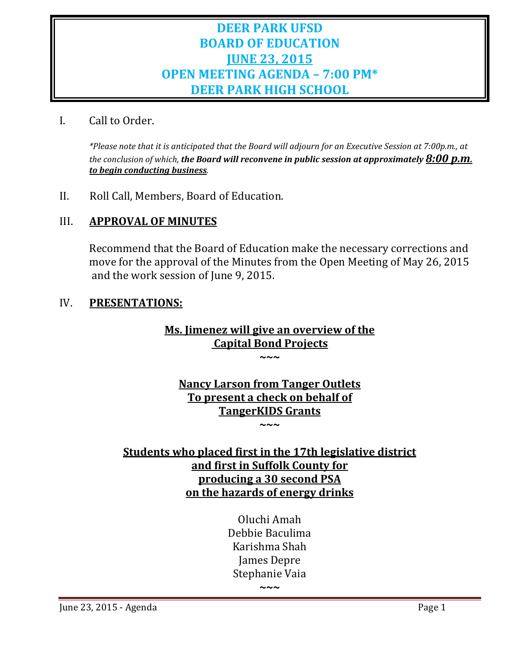# **DEER PARK UFSD BOARD OF EDUCATION JUNE 23, 2015 OPEN MEETING AGENDA – 7:00 PM\* DEER PARK HIGH SCHOOL**

# I. Call to Order.

\*Please note that it is anticipated that the Board will adjourn for an Executive Session at 7:00p.m., at *the conclusion of which, the Board will reconvene in public session at approximately 8:00 p.m. to begin conducting business.*

II. Roll Call, Members, Board of Education.

# III. **APPROVAL OF MINUTES**

Recommend that the Board of Education make the necessary corrections and move for the approval of the Minutes from the Open Meeting of May 26, 2015 and the work session of June 9, 2015.

# IV. **PRESENTATIONS:**

# **Ms. Jimenez will give an overview of the Capital Bond Projects**

**~~~**

**Nancy Larson from Tanger Outlets To present a check on behalf of TangerKIDS Grants ~~~**

# **Students who placed first in the 17th legislative district and first in Suffolk County for producing a 30 second PSA on the hazards of energy drinks**

Oluchi Amah Debbie Baculima Karishma Shah James Depre Stephanie Vaia

**~~~**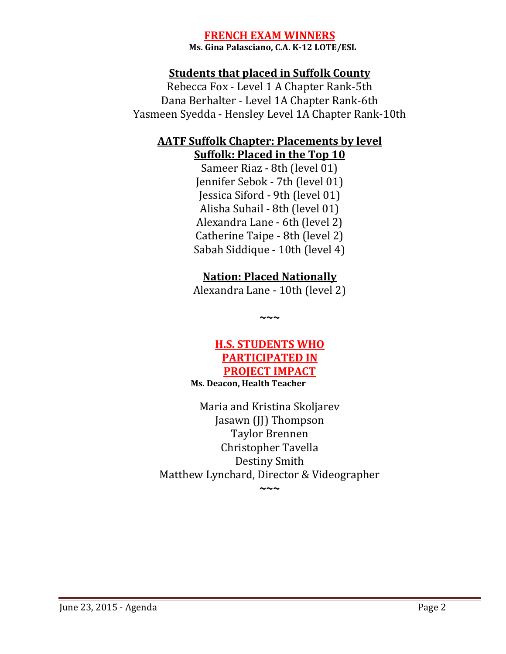# **FRENCH EXAM WINNERS**

 **Ms. Gina Palasciano, C.A. K‐12 LOTE/ESL**

# **Students that placed in Suffolk County**

Rebecca Fox - Level 1 A Chapter Rank-5th Dana Berhalter - Level 1A Chapter Rank-6th Yasmeen Syedda - Hensley Level 1A Chapter Rank-10th

# **AATF Suffolk Chapter: Placements by level Suffolk: Placed in the Top 10**

Sameer Riaz - 8th (level 01) Jennifer Sebok - 7th (level 01) Jessica Siford - 9th (level 01) Alisha Suhail - 8th (level 01) Alexandra Lane - 6th (level 2) Catherine Taipe - 8th (level 2) Sabah Siddique - 10th (level 4)

# **Nation: Placed Nationally**

Alexandra Lane - 10th (level 2)

**~~~**

# **H.S. STUDENTS WHO PARTICIPATED IN PROJECT IMPACT Ms. Deacon, Health Teacher**

Maria and Kristina Skoljarev Jasawn (JJ) Thompson Taylor Brennen Christopher Tavella Destiny Smith Matthew Lynchard, Director & Videographer

**~~~**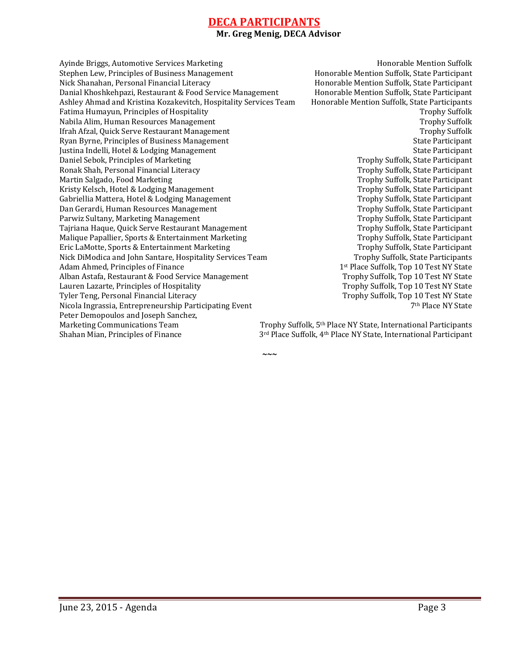#### **DECA PARTICIPANTS Mr. Greg Menig, DECA Advisor**

**~~~**

Ayinde Briggs, Automotive Services Marketing Theorem and Theorem and Honorable Mention Suffolk Stephen Lew, Principles of Business Management **Honorable Mention** Suffolk, State Participant Nick Shanahan, Personal Financial Literacy **Honorable** Mention Suffolk, State Participant Danial Khoshkehpazi, Restaurant & Food Service Management Honorable Mention Suffolk, State Participant Ashley Ahmad and Kristina Kozakevitch, Hospitality Services Team Honorable Mention Suffolk, State Participants Fatima Humayun, Principles of Hospitality **Trophy** Suffolk **Transformation** Trophy Suffolk Nabila Alim, Human Resources Management **Trophy** Suffolk Ifrah Afzal, Quick Serve Restaurant Management **Transference** Trophy Suffolk Ryan Byrne, Principles of Business Management **State Participant** State Participant Justina Indelli, Hotel & Lodging Management **State Participant** State Participant Daniel Sebok, Principles of Marketing The Communication of the Communication of Trophy Suffolk, State Participant Ronak Shah, Personal Financial Literacy The Controller Controller Controller Controller Participant Martin Salgado, Food Marketing Trophy Suffolk, State Participant Kristy Kelsch, Hotel & Lodging Management Trophy Suffolk, State Participant Gabriellia Mattera, Hotel & Lodging Management **Trophy Suffolk, State Participant** Dan Gerardi, Human Resources Management **Trophy** Suffolk, State Participant Parwiz Sultany, Marketing Management **Trophy** Suffolk, State Participant Tajriana Haque, Quick Serve Restaurant Management Trophy Suffolk, State Participant Malique Papallier, Sports & Entertainment Marketing The Communication of Trophy Suffolk, State Participant Eric LaMotte, Sports & Entertainment Marketing The Communication of Trophy Suffolk, State Participant Nick DiModica and John Santare, Hospitality Services Team Trophy Suffolk, State Participants Adam Ahmed, Principles of Finance **1st Department Controller** 1st Place Suffolk, Top 10 Test NY State Alban Astafa, Restaurant & Food Service Management Trophy Suffolk, Top 10 Test NY State Lauren Lazarte, Principles of Hospitality **Trophy** Suffolk, Top 10 Test NY State Tyler Teng, Personal Financial Literacy Trophy Suffolk, Top 10 Test NY State Nicola Ingrassia, Entrepreneurship Participating Event **7th** Place NY State 7<sup>th</sup> Place NY State Peter Demopoulos and Joseph Sanchez, Marketing Communications Team  $\qquad \qquad$  Trophy Suffolk,  $5<sup>th</sup>$  Place NY State, International Participants Shahan Mian, Principles of Finance  $3^{rd}$  Place Suffolk, 4<sup>th</sup> Place NY State, International Participant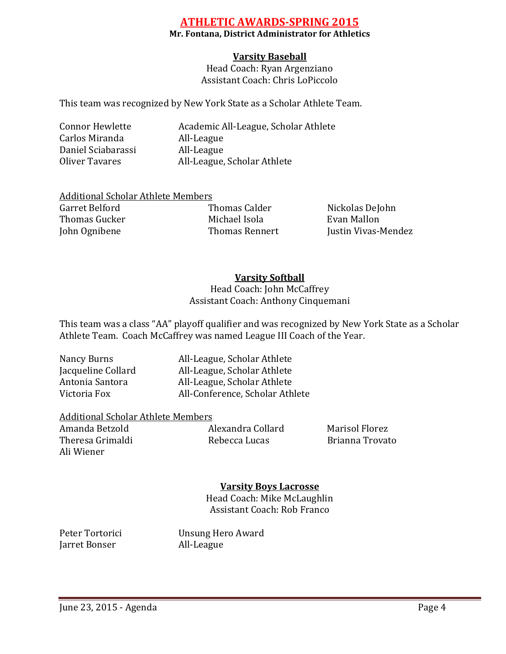# **ATHLETIC AWARDS‐SPRING 2015**

#### **Mr. Fontana, District Administrator for Athletics**

# **Varsity Baseball**

Head Coach: Ryan Argenziano Assistant Coach: Chris LoPiccolo

This team was recognized by New York State as a Scholar Athlete Team.

Connor Hewlette **Academic All-League, Scholar Athlete** Carlos Miranda All-League Daniel Sciabarassi All-League Oliver Tavares All-League, Scholar Athlete

| Additional Scholar Athlete Members |                  |
|------------------------------------|------------------|
| Garret Belford                     | Thomas Ca        |
| Thomas Gucker                      | Michael Isc      |
| John Ognibene                      | <b>Thomas Re</b> |
|                                    |                  |

dder **Nickolas DeJohn** Thomas Gucker Michael Isola Evan Mallon ennert Justin Vivas-Mendez

# **Varsity Softball**

Head Coach: John McCaffrey Assistant Coach: Anthony Cinquemani

This team was a class "AA" playoff qualifier and was recognized by New York State as a Scholar Athlete Team. Coach McCaffrey was named League III Coach of the Year.

Nancy Burns 
all-League, Scholar Athlete Jacqueline Collard **All-League, Scholar Athlete** Antonia Santora **All-League, Scholar Athlete** Victoria Fox **All-Conference**, Scholar Athlete

#### **Additional Scholar Athlete Members**

Amanda Betzold **Bullaria Alexandra Collard Marisol Florez** Theresa Grimaldi Bebecca Lucas Brianna Trovato Ali Wiener 

# **Varsity Boys Lacrosse**

Head Coach: Mike McLaughlin Assistant Coach: Rob Franco

Jarret Bonser **All-League** 

Peter Tortorici Unsung Hero Award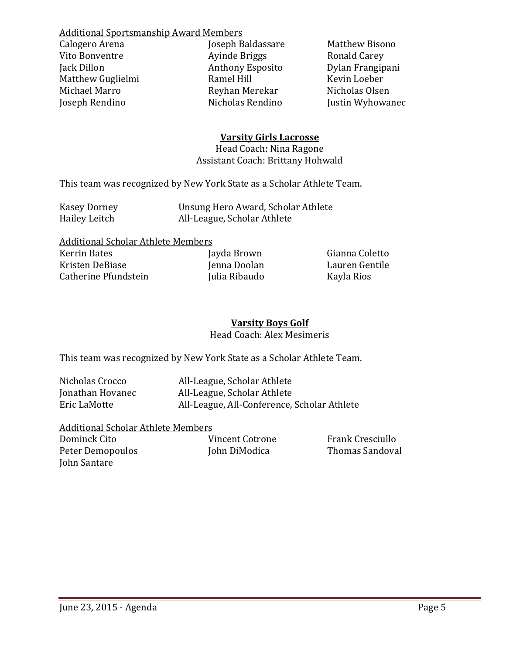**Additional Sportsmanship Award Members** Calogero Arena **Baldassare Calogero Arena Matthew Bisono** Vito Bonventre *Ayinde Briggs* Ronald Carey Jack Dillon Anthony Esposito Dylan Frangipani Matthew Guglielmi **Ramel Hill** Michael Marro **Brand Communist Reyhan Merekar Nicholas Olsen** Joseph Rendino Nicholas Rendino Justin Wyhowanec 

#### **Varsity Girls Lacrosse**

Head Coach: Nina Ragone Assistant Coach: Brittany Hohwald

This team was recognized by New York State as a Scholar Athlete Team.

| <b>Kasey Dorney</b> | Unsung Hero Award, Scholar Athlete |
|---------------------|------------------------------------|
| Hailey Leitch       | All-League, Scholar Athlete        |

| <b>Additional Scholar Athlete Members</b> |              |
|-------------------------------------------|--------------|
| Kerrin Bates                              | Jayda Browi  |
| Kristen DeBiase                           | Jenna Doola  |
| Catherine Pfundstein                      | Julia Ribaud |

n **Gianna Coletto** an **Lauren** Gentile lo Kayla Rios

#### **Varsity Boys Golf** Head Coach: Alex Mesimeris

This team was recognized by New York State as a Scholar Athlete Team.

| Nicholas Crocco  | All-League, Scholar Athlete                 |
|------------------|---------------------------------------------|
| Jonathan Hovanec | All-League, Scholar Athlete                 |
| Eric LaMotte     | All-League, All-Conference, Scholar Athlete |

#### Additional Scholar Athlete Members

| Dominck Cito     | Vincent Cotrone | Frank Cresciullo |
|------------------|-----------------|------------------|
| Peter Demopoulos | John DiModica   | Thomas Sandoval  |
| John Santare     |                 |                  |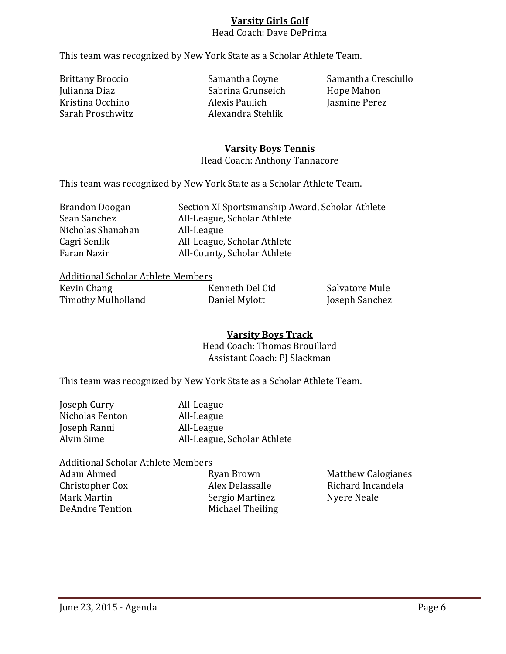# **Varsity Girls Golf**

# Head Coach: Dave DePrima

This team was recognized by New York State as a Scholar Athlete Team.

Julianna Diaz Sabrina Grunseich Hope Mahon Kristina Occhino *Alexis Paulich Jasmine Perez* Sarah Proschwitz **Alexandra** Stehlik

Brittany Broccio Samantha Coyne Samantha Cresciullo

#### **Varsity Boys Tennis**

Head Coach: Anthony Tannacore

This team was recognized by New York State as a Scholar Athlete Team.

| Brandon Doogan    | Section XI Sportsmanship Award, Scholar Athlete |
|-------------------|-------------------------------------------------|
| Sean Sanchez      | All-League, Scholar Athlete                     |
| Nicholas Shanahan | All-League                                      |
| Cagri Senlik      | All-League, Scholar Athlete                     |
| Faran Nazir       | All-County, Scholar Athlete                     |

#### **Additional Scholar Athlete Members**

| Kevin Chang        | Kenneth Del Cid | Salvatore Mule |
|--------------------|-----------------|----------------|
| Timothy Mulholland | Daniel Mylott   | Joseph Sanchez |

# **Varsity Boys Track**

Head Coach: Thomas Brouillard Assistant Coach: PJ Slackman

This team was recognized by New York State as a Scholar Athlete Team.

| All-League                  |
|-----------------------------|
| All-League                  |
| All-League                  |
| All-League, Scholar Athlete |
|                             |

#### Additional Scholar Athlete Members

Mark Martin *Sergio Martinez* Nyere Neale DeAndre Tention Michael Theiling

Adam Ahmed **Ryan Brown** Matthew Calogianes Christopher Cox Alex Delassalle Richard Incandela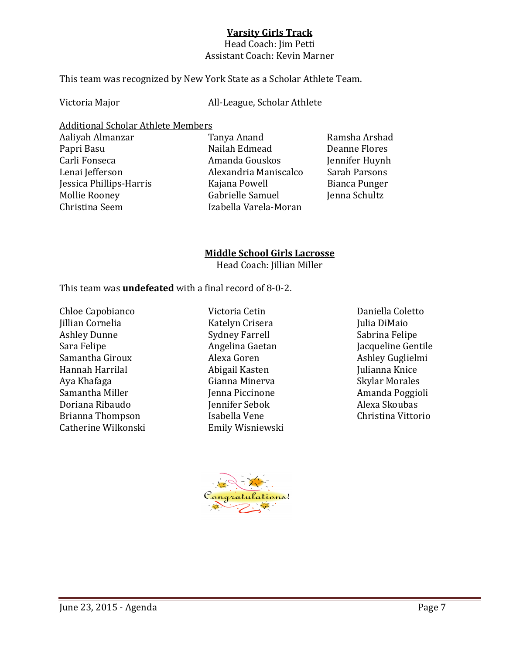### **Varsity Girls Track**

Head Coach: Jim Petti Assistant Coach: Kevin Marner

This team was recognized by New York State as a Scholar Athlete Team.

Victoria Major **Manual Company** All-League, Scholar Athlete

Additional Scholar Athlete Members

- 
- Aaliyah Almanzar Tanya Anand Ramsha Arshad Papri Basu **Basu Railah Edmead Deanne Flores** Carli Fonseca **Barris Amanda** Gouskos **and Lugarda** Iennifer Huynh Lenai Jefferson **Brandria** Maniscalco Sarah Parsons Jessica Phillips-Harris Kajana Powell Bianca Punger Mollie Rooney **Branch Cabrielle Samuel Cabrielle** Samuel *Mollie Rooney Gabrielle* Samuel Christina Seem **Izabella** Varela-Moran

# **Middle School Girls Lacrosse**

Head Coach: Jillian Miller

This team was **undefeated** with a final record of 8-0-2.

Chloe Capobianco Victoria Cetin Daniella Coletto Jillian Cornelia Xatelyn Crisera Julia DiMaio Ashley Dunne Sydney Farrell Sabrina Felipe Sara Felipe *Cara Felipe*  **Example 20** Angelina Gaetan *Cara Felipe* Gentile Samantha Giroux *Alexa Goren Alexa Goren Ashley Guglielmi* Hannah Harrilal Abigail Kasten Julianna Knice Aya Khafaga Cianna Minerva Skylar Morales Samantha Miller *Miller* Ienna Piccinone *Amanda Poggioli* Doriana Ribaudo **Brander** Iennifer Sebok **Alexa** Skoubas Brianna Thompson **Brianna** Thompson **Brianna** Thompson **Isabella** Vene **Christina** Vittorio Catherine Wilkonski<br>
Emily Wisniewski

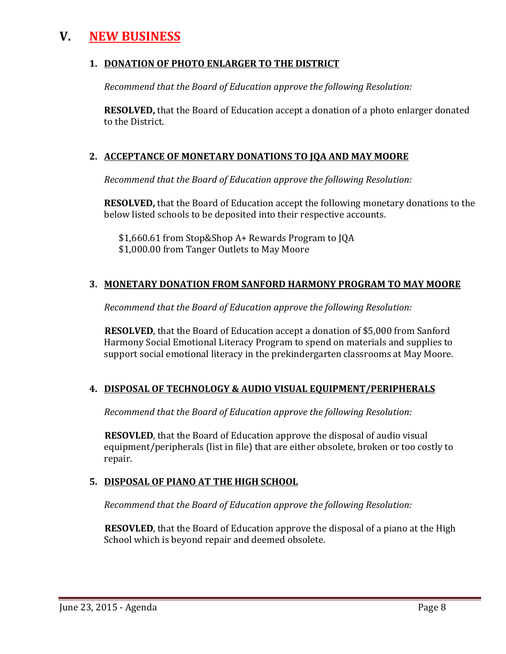# **V. NEW BUSINESS**

#### **1. DONATION OF PHOTO ENLARGER TO THE DISTRICT**

*Recommend that the Board of Education approve the following Resolution:*

**RESOLVED**, that the Board of Education accept a donation of a photo enlarger donated to the District.

# **2. ACCEPTANCE OF MONETARY DONATIONS TO JQA AND MAY MOORE**

*Recommend that the Board of Education approve the following Resolution:*

**RESOLVED,** that the Board of Education accept the following monetary donations to the below listed schools to be deposited into their respective accounts.

\$1,660.61 from Stop&Shop A+ Rewards Program to JOA \$1,000.00 from Tanger Outlets to May Moore

# **3. MONETARY DONATION FROM SANFORD HARMONY PROGRAM TO MAY MOORE**

*Recommend that the Board of Education approve the following Resolution:*

**RESOLVED**, that the Board of Education accept a donation of \$5,000 from Sanford Harmony Social Emotional Literacy Program to spend on materials and supplies to support social emotional literacy in the prekindergarten classrooms at May Moore.

# **4. DISPOSAL OF TECHNOLOGY & AUDIO VISUAL EQUIPMENT/PERIPHERALS**

*Recommend that the Board of Education approve the following Resolution:*

**RESOVLED**, that the Board of Education approve the disposal of audio visual equipment/peripherals (list in file) that are either obsolete, broken or too costly to repair. 

# **5. DISPOSAL OF PIANO AT THE HIGH SCHOOL**

*Recommend that the Board of Education approve the following Resolution:*

**RESOVLED**, that the Board of Education approve the disposal of a piano at the High School which is beyond repair and deemed obsolete.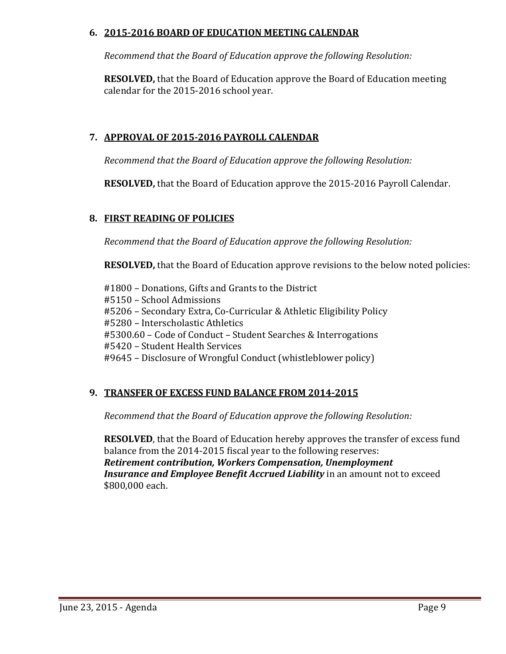### **6. 2015‐2016 BOARD OF EDUCATION MEETING CALENDAR**

*Recommend that the Board of Education approve the following Resolution:*

**RESOLVED,** that the Board of Education approve the Board of Education meeting calendar for the 2015-2016 school year.

# **7. APPROVAL OF 2015‐2016 PAYROLL CALENDAR**

*Recommend that the Board of Education approve the following Resolution:*

**RESOLVED,** that the Board of Education approve the 2015-2016 Payroll Calendar.

# **8. FIRST READING OF POLICIES**

*Recommend that the Board of Education approve the following Resolution:*

**RESOLVED,** that the Board of Education approve revisions to the below noted policies:

#1800 – Donations, Gifts and Grants to the District #5150 – School Admissions #5206 – Secondary Extra, Co-Curricular & Athletic Eligibility Policy #5280 - Interscholastic Athletics #5300.60 – Code of Conduct – Student Searches & Interrogations #5420 – Student Health Services #9645 – Disclosure of Wrongful Conduct (whistleblower policy)

# **9. TRANSFER OF EXCESS FUND BALANCE FROM 2014‐2015**

*Recommend that the Board of Education approve the following Resolution:*

**RESOLVED**, that the Board of Education hereby approves the transfer of excess fund balance from the 2014-2015 fiscal year to the following reserves: *Retirement contribution, Workers Compensation, Unemployment* **Insurance and** *Employee Benefit Accrued Liability* in an amount not to exceed \$800,000 each.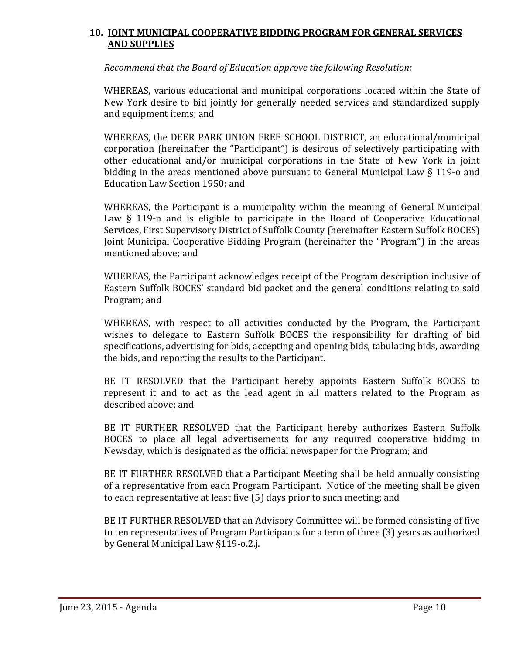#### **10. JOINT MUNICIPAL COOPERATIVE BIDDING PROGRAM FOR GENERAL SERVICES AND SUPPLIES**

*Recommend that the Board of Education approve the following Resolution:*

WHEREAS, various educational and municipal corporations located within the State of New York desire to bid jointly for generally needed services and standardized supply and equipment items; and

WHEREAS, the DEER PARK UNION FREE SCHOOL DISTRICT, an educational/municipal corporation (hereinafter the "Participant") is desirous of selectively participating with other educational and/or municipal corporations in the State of New York in joint bidding in the areas mentioned above pursuant to General Municipal Law  $\S$  119-o and Education Law Section 1950; and

WHEREAS, the Participant is a municipality within the meaning of General Municipal Law  $\S$  119-n and is eligible to participate in the Board of Cooperative Educational Services, First Supervisory District of Suffolk County (hereinafter Eastern Suffolk BOCES) Joint Municipal Cooperative Bidding Program (hereinafter the "Program") in the areas mentioned above: and

WHEREAS, the Participant acknowledges receipt of the Program description inclusive of Eastern Suffolk BOCES' standard bid packet and the general conditions relating to said Program; and

WHEREAS, with respect to all activities conducted by the Program, the Participant wishes to delegate to Eastern Suffolk BOCES the responsibility for drafting of bid specifications, advertising for bids, accepting and opening bids, tabulating bids, awarding the bids, and reporting the results to the Participant.

BE IT RESOLVED that the Participant hereby appoints Eastern Suffolk BOCES to represent it and to act as the lead agent in all matters related to the Program as described above; and

BE IT FURTHER RESOLVED that the Participant hereby authorizes Eastern Suffolk BOCES to place all legal advertisements for any required cooperative bidding in Newsday, which is designated as the official newspaper for the Program; and

BE IT FURTHER RESOLVED that a Participant Meeting shall be held annually consisting of a representative from each Program Participant. Notice of the meeting shall be given to each representative at least five (5) days prior to such meeting; and

BE IT FURTHER RESOLVED that an Advisory Committee will be formed consisting of five to ten representatives of Program Participants for a term of three (3) years as authorized by General Municipal Law §119-o.2.j.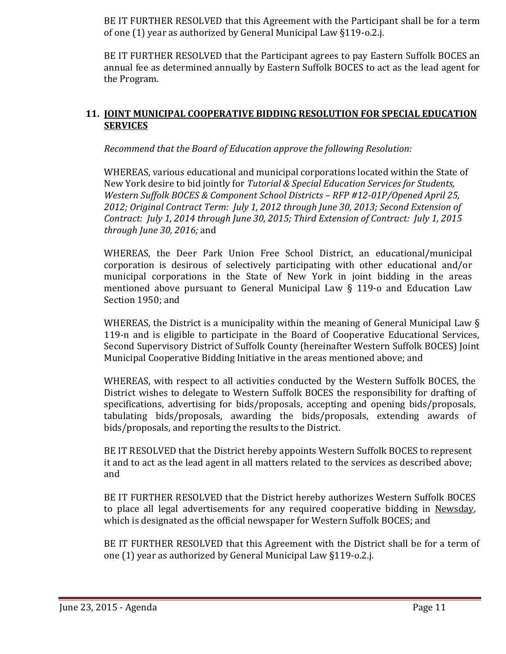BE IT FURTHER RESOLVED that this Agreement with the Participant shall be for a term of one  $(1)$  year as authorized by General Municipal Law §119-o.2.j.

BE IT FURTHER RESOLVED that the Participant agrees to pay Eastern Suffolk BOCES an annual fee as determined annually by Eastern Suffolk BOCES to act as the lead agent for the Program.

### **11. JOINT MUNICIPAL COOPERATIVE BIDDING RESOLUTION FOR SPECIAL EDUCATION SERVICES**

*Recommend that the Board of Education approve the following Resolution:*

WHEREAS, various educational and municipal corporations located within the State of New York desire to bid jointly for *Tutorial & Special Education Services for Students, Western Suffolk BOCES & Component School Districts – RFP #12‐01P/Opened April 25, 2012; Original Contract Term: July 1, 2012 through June 30, 2013; Second Extension of Contract: July 1, 2014 through June 30, 2015; Third Extension of Contract: July 1, 2015 through June 30, 2016;* and 

WHEREAS, the Deer Park Union Free School District, an educational/municipal corporation is desirous of selectively participating with other educational and/or municipal corporations in the State of New York in joint bidding in the areas mentioned above pursuant to General Municipal Law  $\S$  119-o and Education Law Section 1950; and

WHEREAS, the District is a municipality within the meaning of General Municipal Law  $\S$ 119-n and is eligible to participate in the Board of Cooperative Educational Services, Second Supervisory District of Suffolk County (hereinafter Western Suffolk BOCES) Joint Municipal Cooperative Bidding Initiative in the areas mentioned above; and

WHEREAS, with respect to all activities conducted by the Western Suffolk BOCES, the District wishes to delegate to Western Suffolk BOCES the responsibility for drafting of specifications, advertising for bids/proposals, accepting and opening bids/proposals, tabulating bids/proposals, awarding the bids/proposals, extending awards of bids/proposals, and reporting the results to the District.

BE IT RESOLVED that the District hereby appoints Western Suffolk BOCES to represent it and to act as the lead agent in all matters related to the services as described above; and 

BE IT FURTHER RESOLVED that the District hereby authorizes Western Suffolk BOCES to place all legal advertisements for any required cooperative bidding in Newsday, which is designated as the official newspaper for Western Suffolk BOCES; and

BE IT FURTHER RESOLVED that this Agreement with the District shall be for a term of one (1) year as authorized by General Municipal Law §119-o.2.j.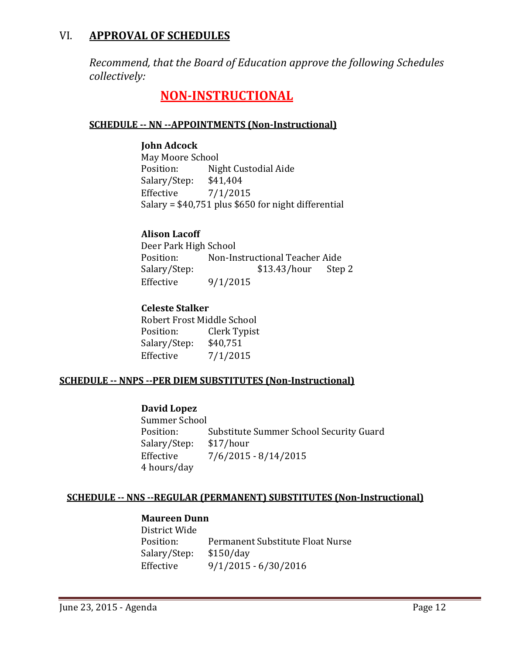# VI. **APPROVAL OF SCHEDULES**

*Recommend, that the Board of Education approve the following Schedules collectively:*

# **NON‐INSTRUCTIONAL**

### **SCHEDULE ‐‐ NN ‐‐APPOINTMENTS (Non‐Instructional)**

#### **John Adcock**

May Moore School Position: Night Custodial Aide Salary/Step: \$41,404 Effective  $7/1/2015$ Salary =  $$40,751$  plus  $$650$  for night differential

# **Alison Lacoff**

Deer Park High School Position: Non-Instructional Teacher Aide Salary/Step:  $$13.43/hour$  Step 2 Effective  $9/1/2015$ 

# **Celeste Stalker**

Robert Frost Middle School Position: Clerk Typist Salary/Step: \$40,751 Effective  $7/1/2015$ 

#### **SCHEDULE ‐‐ NNPS ‐‐PER DIEM SUBSTITUTES (Non‐Instructional)**

#### **David Lopez**

Summer School Position: Substitute Summer School Security Guard Salary/Step: \$17/hour Effective  $7/6/2015 - 8/14/2015$  4 hours/day 

# **SCHEDULE ‐‐ NNS ‐‐REGULAR (PERMANENT) SUBSTITUTES (Non‐Instructional)**

### **Maureen Dunn**

District Wide Position: Permanent Substitute Float Nurse Salary/Step: \$150/day Effective  $9/1/2015 - 6/30/2016$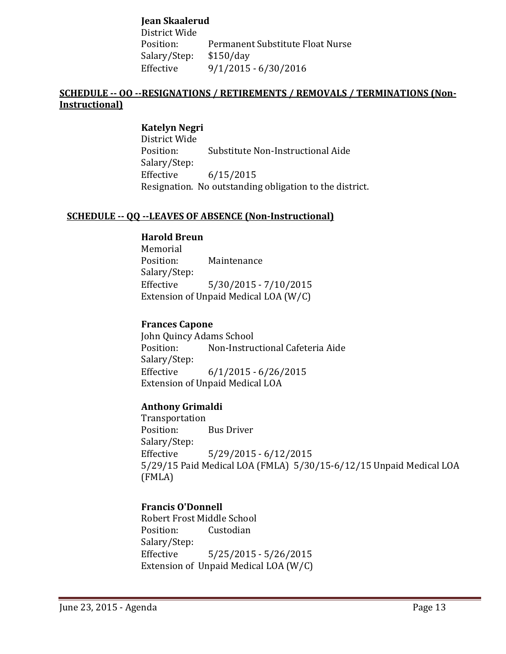**Jean Skaalerud**

District Wide Position: Permanent Substitute Float Nurse Salary/Step: \$150/day Effective 9/1/2015 - 6/30/2016

#### **SCHEDULE ‐‐ OO ‐‐RESIGNATIONS / RETIREMENTS / REMOVALS / TERMINATIONS (Non‐ Instructional)**

**Katelyn Negri** District Wide Position: Substitute Non-Instructional Aide Salary/Step: Effective 6/15/2015 Resignation. No outstanding obligation to the district.

#### **SCHEDULE ‐‐ QQ ‐‐LEAVES OF ABSENCE (Non‐Instructional)**

#### **Harold Breun**

 Memorial Position: Maintenance Salary/Step: Effective 5/30/2015 - 7/10/2015 Extension of Unpaid Medical LOA  $(W/C)$ 

#### **Frances Capone**

John Quincy Adams School Position: Non-Instructional Cafeteria Aide Salary/Step: Effective  $6/1/2015 - 6/26/2015$ Extension of Unpaid Medical LOA

#### **Anthony Grimaldi**

 Transportation Position: Bus Driver Salary/Step: Effective 5/29/2015 - 6/12/2015  $5/29/15$  Paid Medical LOA (FMLA)  $5/30/15$ -6/12/15 Unpaid Medical LOA (FMLA) 

#### **Francis O'Donnell**

Robert Frost Middle School Position: Custodian Salary/Step: Effective 5/25/2015 - 5/26/2015 Extension of Unpaid Medical LOA  $(W/C)$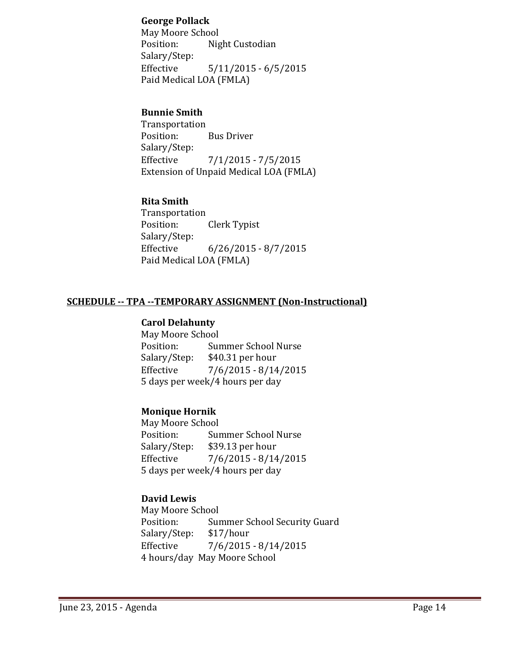#### **George Pollack**

May Moore School Position: Night Custodian Salary/Step: Effective 5/11/2015 - 6/5/2015 Paid Medical LOA (FMLA)

### **Bunnie Smith**

 Transportation Position: Bus Driver Salary/Step: Effective  $\frac{7}{1/2015} - \frac{7}{5/2015}$ Extension of Unpaid Medical LOA (FMLA)

# **Rita Smith**

 Transportation Position: Clerk Typist Salary/Step: Effective 6/26/2015 - 8/7/2015 Paid Medical LOA (FMLA)

#### **SCHEDULE ‐‐ TPA ‐‐TEMPORARY ASSIGNMENT (Non‐Instructional)**

#### **Carol Delahunty**

May Moore School Position: Summer School Nurse Salary/Step: \$40.31 per hour Effective  $\frac{7}{6}$ /2015 - 8/14/2015 5 days per week/4 hours per day

#### **Monique Hornik**

May Moore School Position: Summer School Nurse Salary/Step: \$39.13 per hour Effective  $7/6/2015 - 8/14/2015$ 5 days per week/4 hours per day

# **David Lewis**

May Moore School Position: Summer School Security Guard Salary/Step: \$17/hour Effective 7/6/2015 - 8/14/2015 4 hours/day May Moore School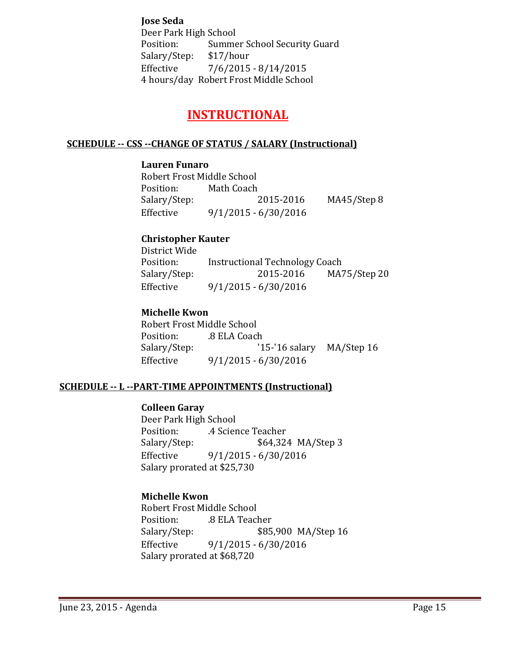**Jose Seda** Deer Park High School Position: Summer School Security Guard Salary/Step: \$17/hour Effective 7/6/2015 - 8/14/2015 4 hours/day Robert Frost Middle School

# **INSTRUCTIONAL**

#### **SCHEDULE ‐‐ CSS ‐‐CHANGE OF STATUS / SALARY (Instructional)**

#### **Lauren Funaro**

Robert Frost Middle School Position: Math Coach Salary/Step: 2015-2016 MA45/Step 8 Effective  $9/1/2015 - 6/30/2016$ 

#### **Christopher Kauter**

District Wide Position: Instructional Technology Coach Salary/Step: 2015-2016 MA75/Step 20 Effective 9/1/2015 - 6/30/2016

# **Michelle Kwon**

Robert Frost Middle School Position: .8 ELA Coach Salary/Step: '15-'16 salary MA/Step 16 Effective  $9/1/2015 - 6/30/2016$ 

#### **SCHEDULE ‐‐ L ‐‐PART‐TIME APPOINTMENTS (Instructional)**

#### **Colleen Garay**

Deer Park High School Position: 4 Science Teacher Salary/Step:  $$64,324 \text{ MA/Step 3}$ Effective 9/1/2015 - 6/30/2016 Salary prorated at \$25,730

# **Michelle Kwon**

Robert Frost Middle School Position: .8 ELA Teacher Salary/Step:  $$85,900$  MA/Step 16 Effective 9/1/2015 - 6/30/2016 Salary prorated at \$68,720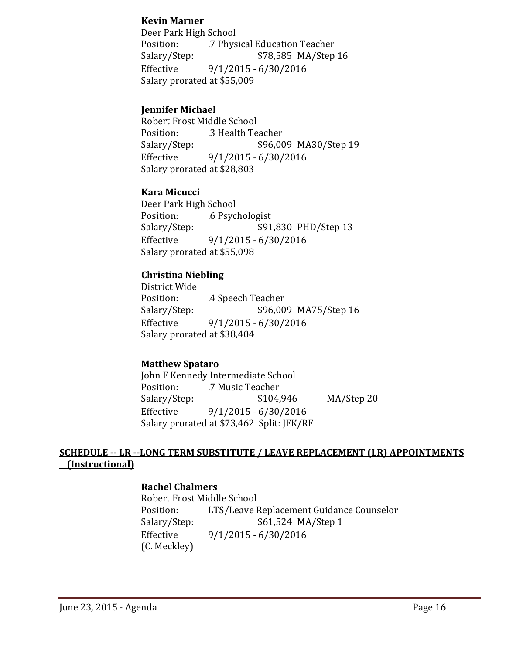#### **Kevin Marner**

Deer Park High School Position: 7 Physical Education Teacher Salary/Step:  $$78,585$  MA/Step 16 Effective 9/1/2015 - 6/30/2016 Salary prorated at \$55,009

#### **Jennifer Michael**

Robert Frost Middle School Position: .3 Health Teacher Salary/Step:  $$96,009$  MA30/Step 19 Effective  $9/1/2015 - 6/30/2016$ Salary prorated at \$28,803

#### **Kara Micucci**

Deer Park High School Position: .6 Psychologist Salary/Step:  $$91,830$  PHD/Step 13 Effective 9/1/2015 - 6/30/2016 Salary prorated at \$55,098

#### **Christina Niebling**

District Wide Position: 4 Speech Teacher Salary/Step:  $$96,009$  MA75/Step 16 Effective 9/1/2015 - 6/30/2016 Salary prorated at \$38,404

#### **Matthew Spataro**

John F Kennedy Intermediate School Position: 7 Music Teacher Salary/Step: \$104,946 MA/Step 20 Effective  $9/1/2015 - 6/30/2016$ Salary prorated at \$73,462 Split: JFK/RF

#### **SCHEDULE ‐‐ LR ‐‐LONG TERM SUBSTITUTE / LEAVE REPLACEMENT (LR) APPOINTMENTS (Instructional)**

#### **Rachel Chalmers**

Robert Frost Middle School Position: LTS/Leave Replacement Guidance Counselor Salary/Step:  $$61,524 \text{ MA}/\text{Step 1}$ Effective 9/1/2015 - 6/30/2016 (C. Meckley)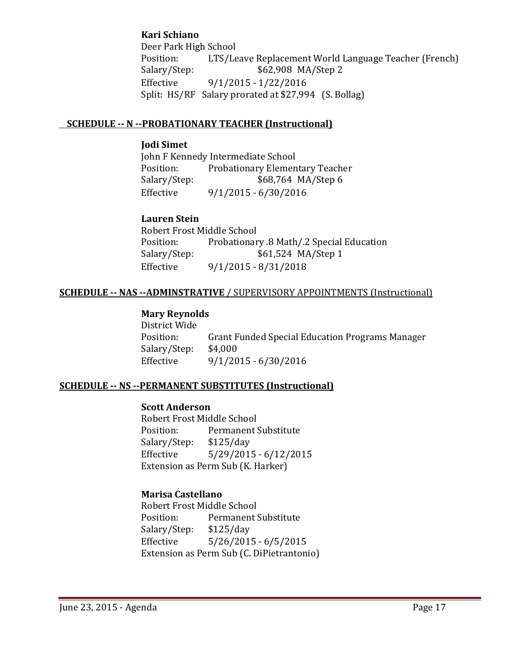### **Kari Schiano**

Deer Park High School Position: LTS/Leave Replacement World Language Teacher (French) Salary/Step: \$62,908 MA/Step 2 Effective 9/1/2015 - 1/22/2016 Split:  $HS/RF$  Salary prorated at \$27,994 (S. Bollag)

#### **SCHEDULE ‐‐ N ‐‐PROBATIONARY TEACHER (Instructional)**

#### **Jodi Simet**

John F Kennedy Intermediate School Position: Probationary Elementary Teacher Salary/Step: \$68,764 MA/Step 6 Effective 9/1/2015 - 6/30/2016

# **Lauren Stein**

Robert Frost Middle School Position: Probationary .8 Math/.2 Special Education Salary/Step: \$61,524 MA/Step 1 Effective 9/1/2015 - 8/31/2018

#### **SCHEDULE** -- NAS --ADMINSTRATIVE / SUPERVISORY APPOINTMENTS (Instructional)

# **Mary Reynolds**

District Wide Position: Grant Funded Special Education Programs Manager Salary/Step: \$4,000 Effective 9/1/2015 - 6/30/2016

# **SCHEDULE ‐‐ NS ‐‐PERMANENT SUBSTITUTES (Instructional)**

#### **Scott Anderson**

Robert Frost Middle School Position: Permanent Substitute Salary/Step: \$125/day Effective 5/29/2015 - 6/12/2015 Extension as Perm Sub (K. Harker)

# **Marisa Castellano**

Robert Frost Middle School Position: Permanent Substitute Salary/Step: \$125/day Effective 5/26/2015 - 6/5/2015 Extension as Perm Sub (C. DiPietrantonio)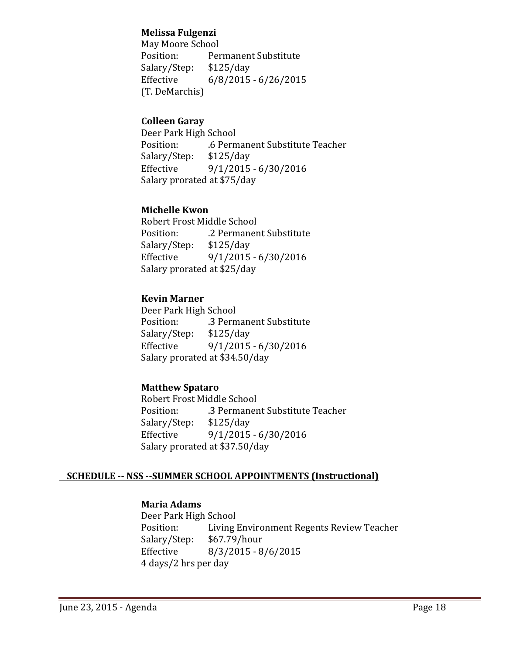#### **Melissa Fulgenzi**

May Moore School Position: Permanent Substitute Salary/Step: \$125/day Effective 6/8/2015 - 6/26/2015 (T. DeMarchis) 

# **Colleen Garay**

Deer Park High School Position: 6 Permanent Substitute Teacher Salary/Step: \$125/day Effective 9/1/2015 - 6/30/2016 Salary prorated at \$75/day

#### **Michelle Kwon**

Robert Frost Middle School Position: .2 Permanent Substitute Salary/Step: \$125/day Effective 9/1/2015 - 6/30/2016 Salary prorated at \$25/day

# **Kevin Marner**

Deer Park High School Position: 3 Permanent Substitute Salary/Step: \$125/day Effective 9/1/2015 - 6/30/2016 Salary prorated at \$34.50/day

# **Matthew Spataro**

Robert Frost Middle School Position: 3 Permanent Substitute Teacher Salary/Step: \$125/day Effective 9/1/2015 - 6/30/2016 Salary prorated at \$37.50/day

#### **SCHEDULE ‐‐ NSS ‐‐SUMMER SCHOOL APPOINTMENTS (Instructional)**

# **Maria Adams**

Deer Park High School Position: Living Environment Regents Review Teacher Salary/Step: \$67.79/hour Effective 8/3/2015 - 8/6/2015 4 days/2 hrs per day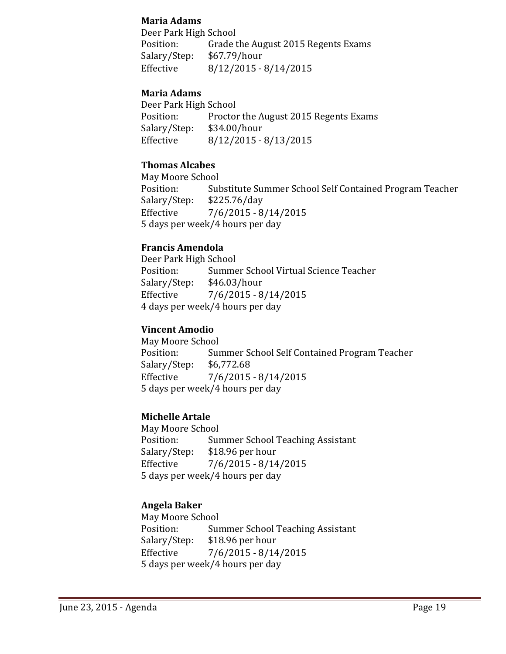#### **Maria Adams**

Deer Park High School Position: Grade the August 2015 Regents Exams Salary/Step: \$67.79/hour Effective 8/12/2015 - 8/14/2015

#### **Maria Adams**

Deer Park High School Position: Proctor the August 2015 Regents Exams Salary/Step: \$34.00/hour Effective 8/12/2015 - 8/13/2015

### **Thomas Alcabes**

May Moore School Position: Substitute Summer School Self Contained Program Teacher Salary/Step: \$225.76/day Effective 7/6/2015 - 8/14/2015 5 days per week/4 hours per day

#### **Francis Amendola**

Deer Park High School Position: Summer School Virtual Science Teacher Salary/Step: \$46.03/hour Effective  $\frac{7}{6}/\frac{2015 - 8}{14}/\frac{2015}{6}$ 4 days per week/4 hours per day

#### **Vincent Amodio**

May Moore School Position: Summer School Self Contained Program Teacher Salary/Step: \$6,772.68 Effective 7/6/2015 - 8/14/2015 5 days per week/4 hours per day 

#### **Michelle Artale**

May Moore School Position: Summer School Teaching Assistant Salary/Step: \$18.96 per hour Effective 7/6/2015 - 8/14/2015 5 days per week/4 hours per day

# **Angela Baker**

 May Moore School Position: Summer School Teaching Assistant Salary/Step: \$18.96 per hour Effective  $\frac{7}{6}$  7/6/2015 - 8/14/2015 5 days per week/4 hours per day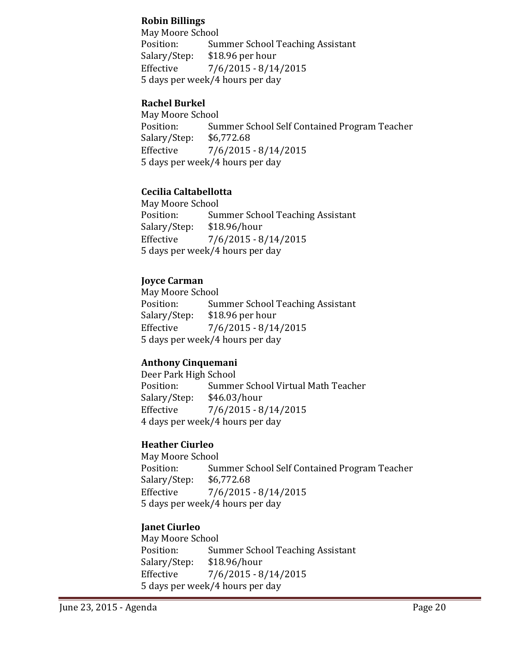#### **Robin Billings**

 May Moore School Position: Summer School Teaching Assistant Salary/Step: \$18.96 per hour Effective 7/6/2015 - 8/14/2015 5 days per week/4 hours per day

### **Rachel Burkel**

May Moore School Position: Summer School Self Contained Program Teacher Salary/Step: \$6,772.68 Effective  $\frac{7}{6}$ /2015 - 8/14/2015 5 days per week/4 hours per day

#### **Cecilia Caltabellotta**

May Moore School Position: Summer School Teaching Assistant Salary/Step: \$18.96/hour Effective  $7/6/2015 - 8/14/2015$ 5 days per week/4 hours per day

#### **Joyce Carman**

May Moore School Position: Summer School Teaching Assistant Salary/Step: \$18.96 per hour Effective 7/6/2015 - 8/14/2015 5 days per week/4 hours per day

# **Anthony Cinquemani**

Deer Park High School Position: Summer School Virtual Math Teacher Salary/Step: \$46.03/hour Effective  $7/6/2015 - 8/14/2015$  4 days per week/4 hours per day 

# **Heather Ciurleo**

May Moore School Position: Summer School Self Contained Program Teacher Salary/Step: \$6,772.68 Effective  $\frac{7}{6}$ /2015 - 8/14/2015 5 days per week/4 hours per day

# **Janet Ciurleo**

May Moore School Position: Summer School Teaching Assistant Salary/Step: \$18.96/hour Effective  $\frac{7}{6}/\frac{2015 - 8}{14}/\frac{2015}{6}$ 5 days per week/4 hours per day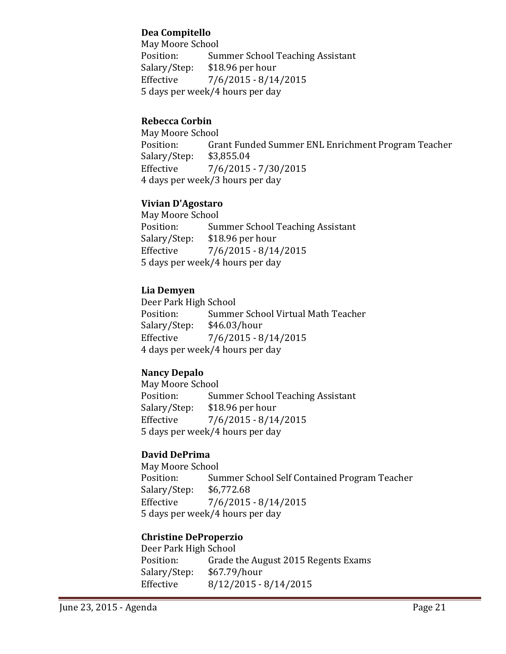### **Dea Compitello**

May Moore School Position: Summer School Teaching Assistant Salary/Step: \$18.96 per hour Effective  $7/6/2015 - 8/14/2015$ 5 days per week/4 hours per dav

# **Rebecca Corbin**

May Moore School Position: Grant Funded Summer ENL Enrichment Program Teacher Salary/Step: \$3,855.04 Effective 7/6/2015 - 7/30/2015 4 days per week/3 hours per day

#### **Vivian D'Agostaro**

May Moore School Position: Summer School Teaching Assistant Salary/Step: \$18.96 per hour Effective  $\frac{7}{6}$  7/6/2015 - 8/14/2015 5 days per week/4 hours per day 

#### **Lia Demyen**

Deer Park High School Position: Summer School Virtual Math Teacher Salary/Step: \$46.03/hour Effective  $\frac{7}{6}$ /2015 - 8/14/2015 4 days per week/4 hours per day

# **Nancy Depalo**

May Moore School Position: Summer School Teaching Assistant Salary/Step: \$18.96 per hour Effective  $7/6/2015 - 8/14/2015$ 5 days per week/4 hours per day

# **David DePrima**

May Moore School Position: Summer School Self Contained Program Teacher Salary/Step: \$6,772.68 Effective  $\frac{7}{6}$ /2015 - 8/14/2015 5 days per week/4 hours per day

#### **Christine DeProperzio**

Deer Park High School Position: Grade the August 2015 Regents Exams Salary/Step: \$67.79/hour Effective 8/12/2015 - 8/14/2015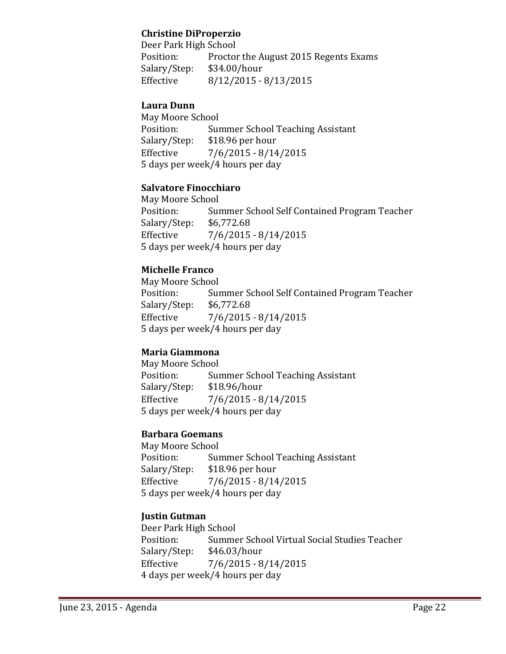### **Christine DiProperzio**

Deer Park High School Position: Proctor the August 2015 Regents Exams Salary/Step: \$34.00/hour Effective 8/12/2015 - 8/13/2015

#### **Laura Dunn**

May Moore School Position: Summer School Teaching Assistant Salary/Step: \$18.96 per hour Effective  $\frac{7}{6}$  7/6/2015 - 8/14/2015 5 days per week/4 hours per day

#### **Salvatore Finocchiaro**

May Moore School Position: Summer School Self Contained Program Teacher Salary/Step: \$6,772.68 Effective  $\frac{7}{6}$ /2015 - 8/14/2015 5 days per week/4 hours per day

# **Michelle Franco**

May Moore School Position: Summer School Self Contained Program Teacher Salary/Step: \$6,772.68 Effective 7/6/2015 - 8/14/2015 5 days per week/4 hours per day

# **Maria Giammona**

May Moore School Position: Summer School Teaching Assistant Salary/Step: \$18.96/hour Effective  $\frac{7}{6}$ /2015 - 8/14/2015 5 days per week/4 hours per day

#### **Barbara Goemans**

May Moore School Position: Summer School Teaching Assistant Salary/Step: \$18.96 per hour Effective  $\frac{7}{6}$ /2015 - 8/14/2015 5 days per week/4 hours per day 

# **Justin Gutman**

Deer Park High School Position: Summer School Virtual Social Studies Teacher Salary/Step: \$46.03/hour Effective  $7/6/2015 - 8/14/2015$ 4 days per week/4 hours per day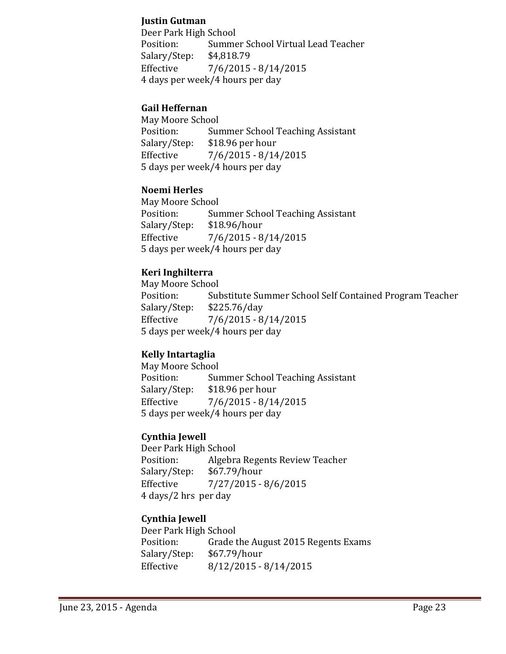### **Justin Gutman**

Deer Park High School Position: Summer School Virtual Lead Teacher Salary/Step: \$4,818.79 Effective 7/6/2015 - 8/14/2015 4 days per week/4 hours per day

#### **Gail Heffernan**

May Moore School Position: Summer School Teaching Assistant Salary/Step: \$18.96 per hour Effective  $\frac{7}{6}/\frac{2015 - 8}{14}/\frac{2015}{15}$ 5 days per week/4 hours per day

#### **Noemi Herles**

May Moore School Position: Summer School Teaching Assistant Salary/Step: \$18.96/hour Effective  $\frac{7}{6}$ /2015 - 8/14/2015 5 days per week/4 hours per day 

#### **Keri Inghilterra**

May Moore School Position: Substitute Summer School Self Contained Program Teacher Salary/Step: \$225.76/day Effective  $7/6/2015 - 8/14/2015$ 5 days per week/4 hours per day

# **Kelly Intartaglia**

May Moore School Position: Summer School Teaching Assistant Salary/Step: \$18.96 per hour Effective  $\frac{7}{6}$ /2015 - 8/14/2015 5 days per week/4 hours per day

#### **Cynthia Jewell**

Deer Park High School Position: Algebra Regents Review Teacher Salary/Step: \$67.79/hour Effective  $\frac{7}{27}{2015 - 8}{6}{2015}$  4 days/2 hrs per day 

# **Cynthia Jewell**

Deer Park High School Position: Grade the August 2015 Regents Exams Salary/Step: \$67.79/hour Effective 8/12/2015 - 8/14/2015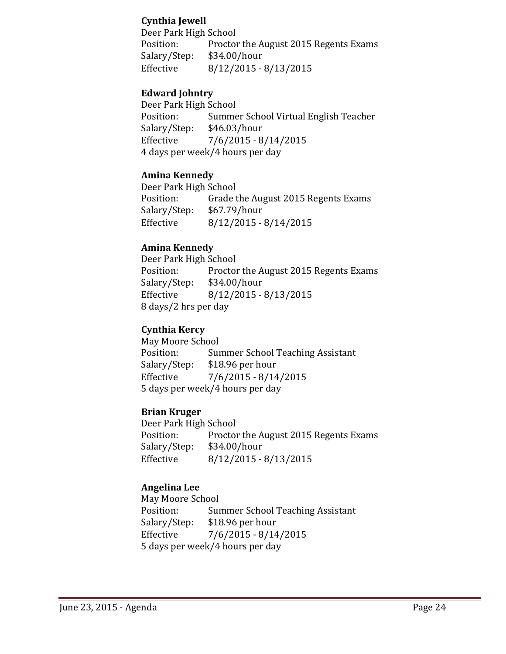#### **Cynthia Jewell**

Deer Park High School Position: Proctor the August 2015 Regents Exams Salary/Step: \$34.00/hour Effective 8/12/2015 - 8/13/2015

### **Edward Johntry**

Deer Park High School Position: Summer School Virtual English Teacher Salary/Step: \$46.03/hour Effective 7/6/2015 - 8/14/2015 4 days per week/4 hours per day

#### **Amina Kennedy**

Deer Park High School Position: Grade the August 2015 Regents Exams Salary/Step: \$67.79/hour Effective 8/12/2015 - 8/14/2015

#### **Amina Kennedy**

Deer Park High School Position: Proctor the August 2015 Regents Exams Salary/Step: \$34.00/hour Effective 8/12/2015 - 8/13/2015 8 days/2 hrs per day

# **Cynthia Kercy**

May Moore School Position: Summer School Teaching Assistant Salary/Step: \$18.96 per hour Effective 7/6/2015 - 8/14/2015 5 days per week/4 hours per day 

# **Brian Kruger**

Deer Park High School Position: Proctor the August 2015 Regents Exams Salary/Step: \$34.00/hour Effective 8/12/2015 - 8/13/2015

# **Angelina Lee**

May Moore School Position: Summer School Teaching Assistant Salary/Step: \$18.96 per hour Effective  $7/6/2015 - 8/14/2015$ 5 days per week/4 hours per day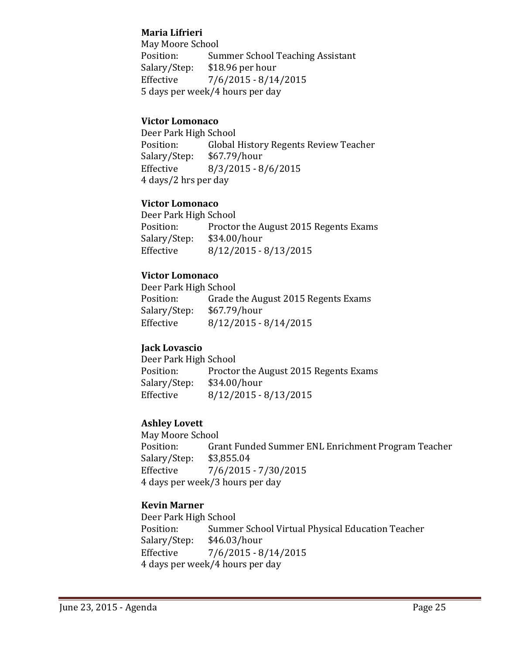### **Maria Lifrieri**

May Moore School Position: Summer School Teaching Assistant Salary/Step: \$18.96 per hour Effective  $7/6/2015 - 8/14/2015$ 5 days per week/4 hours per day

### **Victor Lomonaco**

Deer Park High School Position: Global History Regents Review Teacher Salary/Step: \$67.79/hour Effective 8/3/2015 - 8/6/2015 4 days/2 hrs per day

#### **Victor Lomonaco**

Deer Park High School Position: Proctor the August 2015 Regents Exams Salary/Step: \$34.00/hour Effective 8/12/2015 - 8/13/2015

#### **Victor Lomonaco**

Deer Park High School Position: Grade the August 2015 Regents Exams Salary/Step: \$67.79/hour Effective 8/12/2015 - 8/14/2015

#### **Jack Lovascio**

Deer Park High School Position: Proctor the August 2015 Regents Exams Salary/Step: \$34.00/hour Effective 8/12/2015 - 8/13/2015

# **Ashley Lovett**

 May Moore School Position: Grant Funded Summer ENL Enrichment Program Teacher Salary/Step: \$3,855.04 Effective  $\frac{7}{6}$  7/6/2015 - 7/30/2015 4 days per week/3 hours per day

# **Kevin Marner**

Deer Park High School Position: Summer School Virtual Physical Education Teacher Salary/Step: \$46.03/hour Effective  $\frac{7}{6}$ /2015 - 8/14/2015 4 days per week/4 hours per day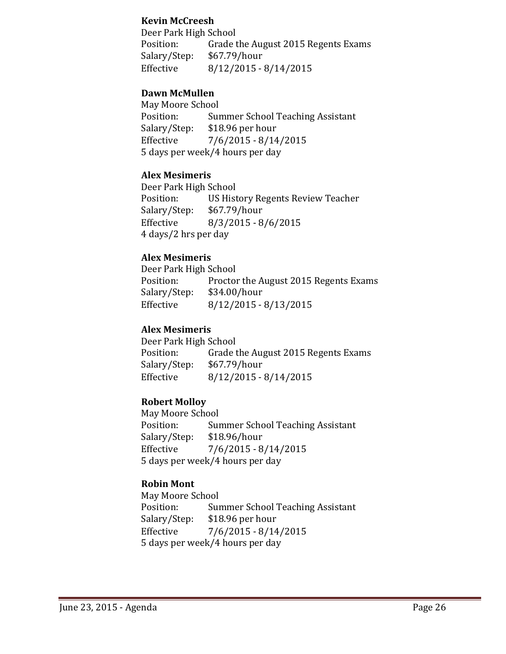#### **Kevin McCreesh**

Deer Park High School Position: Grade the August 2015 Regents Exams Salary/Step: \$67.79/hour Effective 8/12/2015 - 8/14/2015

#### **Dawn McMullen**

May Moore School Position: Summer School Teaching Assistant Salary/Step: \$18.96 per hour Effective 7/6/2015 - 8/14/2015 5 days per week/4 hours per day

#### **Alex Mesimeris**

Deer Park High School Position: US History Regents Review Teacher Salary/Step: \$67.79/hour Effective 8/3/2015 - 8/6/2015 4 days/2 hrs per day 

#### **Alex Mesimeris**

Deer Park High School Position: Proctor the August 2015 Regents Exams Salary/Step: \$34.00/hour Effective 8/12/2015 - 8/13/2015

#### **Alex Mesimeris**

Deer Park High School Position: Grade the August 2015 Regents Exams Salary/Step: \$67.79/hour Effective 8/12/2015 - 8/14/2015

# **Robert Molloy**

May Moore School Position: Summer School Teaching Assistant Salary/Step: \$18.96/hour Effective  $7/6/2015 - 8/14/2015$ 5 days per week/4 hours per day

# **Robin Mont**

May Moore School Position: Summer School Teaching Assistant Salary/Step: \$18.96 per hour Effective  $\frac{7}{6}$ /2015 - 8/14/2015 5 days per week/4 hours per day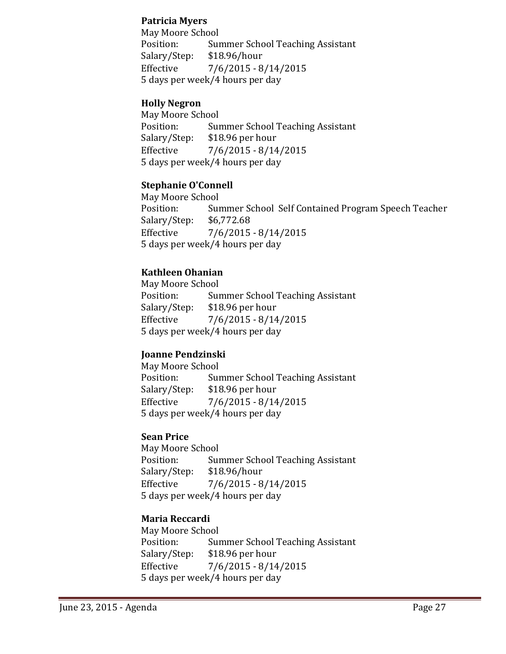#### **Patricia Myers**

May Moore School Position: Summer School Teaching Assistant Salary/Step: \$18.96/hour Effective 7/6/2015 - 8/14/2015 5 days per week/4 hours per day

# **Holly Negron**

May Moore School Position: Summer School Teaching Assistant Salary/Step: \$18.96 per hour Effective  $\frac{7}{6}/\frac{2015 - 8}{14}/\frac{2015}{6}$  5 days per week/4 hours per day 

#### **Stephanie O'Connell**

May Moore School Position: Summer School Self Contained Program Speech Teacher Salary/Step: \$6,772.68 Effective  $\frac{7}{6}$  7/6/2015 - 8/14/2015 5 days per week/4 hours per day 

#### **Kathleen Ohanian**

May Moore School Position: Summer School Teaching Assistant Salary/Step: \$18.96 per hour Effective 7/6/2015 - 8/14/2015 5 days per week/4 hours per day

# **Joanne Pendzinski**

May Moore School Position: Summer School Teaching Assistant Salary/Step: \$18.96 per hour Effective  $\frac{7}{6}$ /2015 - 8/14/2015 5 days per week/4 hours per day

#### **Sean Price**

May Moore School Position: Summer School Teaching Assistant Salary/Step: \$18.96/hour Effective  $\frac{7}{6}/\frac{2015 - 8}{14}/\frac{2015}{15}$ 5 days per week/4 hours per day

# **Maria Reccardi**

May Moore School Position: Summer School Teaching Assistant Salary/Step: \$18.96 per hour Effective  $7/6/2015 - 8/14/2015$ 5 days per week/4 hours per day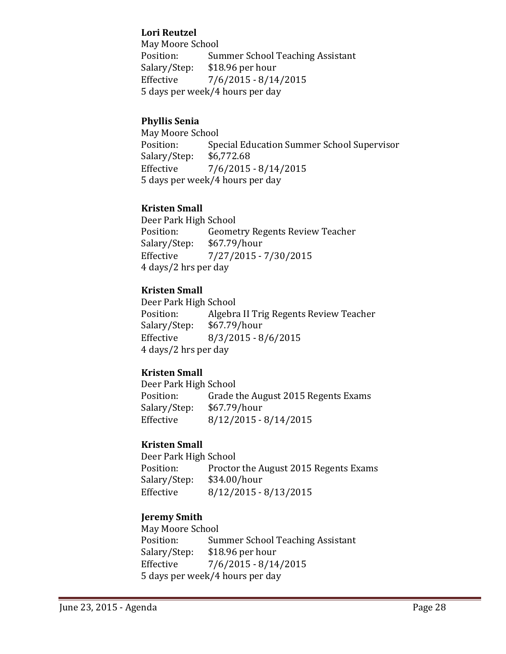#### **Lori Reutzel**

May Moore School Position: Summer School Teaching Assistant Salary/Step: \$18.96 per hour Effective  $\frac{7}{6}$ /2015 - 8/14/2015 5 days per week/4 hours per dav

# **Phyllis Senia**

May Moore School Position: Special Education Summer School Supervisor Salary/Step: \$6,772.68 Effective 7/6/2015 - 8/14/2015 5 days per week/4 hours per day

# **Kristen Small**

Deer Park High School Position: Geometry Regents Review Teacher Salary/Step: \$67.79/hour Effective  $7/27/2015 - 7/30/2015$ 4 days/2 hrs per day

# **Kristen Small**

Deer Park High School Position: Algebra II Trig Regents Review Teacher Salary/Step: \$67.79/hour Effective 8/3/2015 - 8/6/2015 4 days/2 hrs per day 

# **Kristen Small**

Deer Park High School Position: Grade the August 2015 Regents Exams Salary/Step: \$67.79/hour Effective 8/12/2015 - 8/14/2015

#### **Kristen Small**

Deer Park High School Position: Proctor the August 2015 Regents Exams Salary/Step: \$34.00/hour Effective 8/12/2015 - 8/13/2015

# **Jeremy Smith**

May Moore School Position: Summer School Teaching Assistant Salary/Step: \$18.96 per hour Effective 7/6/2015 - 8/14/2015 5 days per week/4 hours per day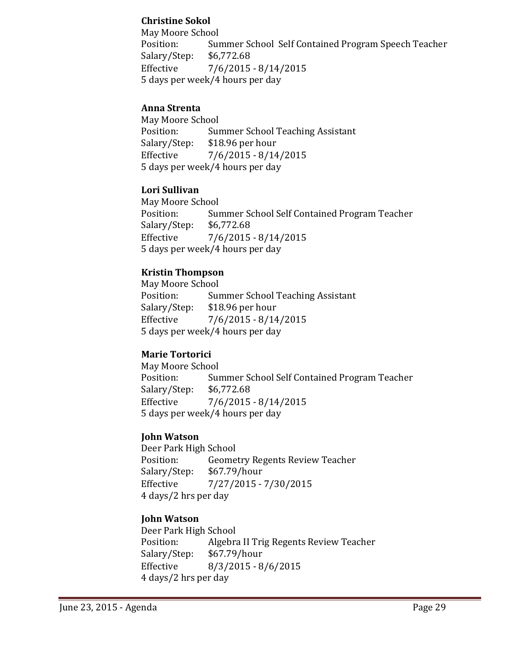### **Christine Sokol**

 May Moore School Position: Summer School Self Contained Program Speech Teacher Salary/Step: \$6,772.68 Effective 7/6/2015 - 8/14/2015 5 days per week/4 hours per day

#### **Anna Strenta**

May Moore School Position: Summer School Teaching Assistant Salary/Step: \$18.96 per hour Effective  $\frac{7}{6}$ /2015 - 8/14/2015 5 days per week/4 hours per day

#### **Lori Sullivan**

May Moore School Position: Summer School Self Contained Program Teacher Salary/Step: \$6,772.68 Effective  $\frac{7}{6}$  7/6/2015 - 8/14/2015 5 days per week/4 hours per day 

#### **Kristin Thompson**

May Moore School Position: Summer School Teaching Assistant Salary/Step: \$18.96 per hour Effective 7/6/2015 - 8/14/2015 5 days per week/4 hours per day

# **Marie Tortorici**

May Moore School Position: Summer School Self Contained Program Teacher Salary/Step: \$6,772.68 Effective  $\frac{7}{6}$ /2015 - 8/14/2015 5 days per week/4 hours per day

# **John Watson**

Deer Park High School Position: Geometry Regents Review Teacher Salary/Step: \$67.79/hour Effective  $7/27/2015 - 7/30/2015$  4 days/2 hrs per day 

#### **John Watson**

Deer Park High School Position: Algebra II Trig Regents Review Teacher Salary/Step: \$67.79/hour Effective 8/3/2015 - 8/6/2015 4 days/2 hrs per day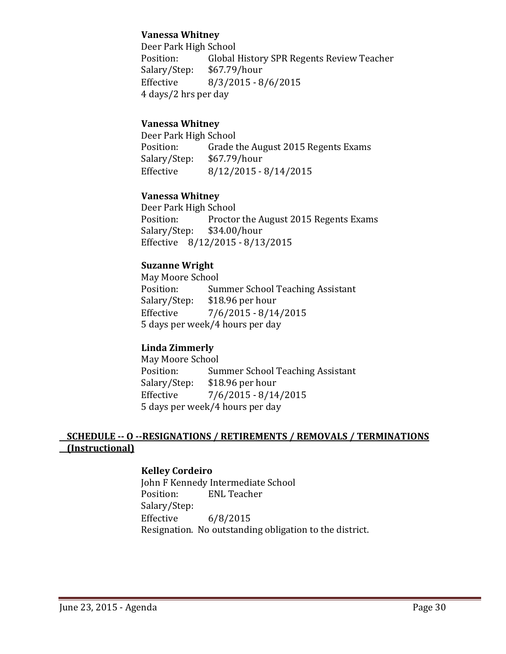#### **Vanessa Whitney**

Deer Park High School Position: Global History SPR Regents Review Teacher Salary/Step: \$67.79/hour Effective 8/3/2015 - 8/6/2015 4 days/2 hrs per day

#### **Vanessa Whitney**

Deer Park High School Position: Grade the August 2015 Regents Exams Salary/Step: \$67.79/hour Effective 8/12/2015 - 8/14/2015

#### **Vanessa Whitney**

Deer Park High School Position: Proctor the August 2015 Regents Exams Salary/Step: \$34.00/hour Effective 8/12/2015 - 8/13/2015

#### **Suzanne Wright**

May Moore School Position: Summer School Teaching Assistant Salary/Step: \$18.96 per hour Effective 7/6/2015 - 8/14/2015 5 days per week/4 hours per day

# **Linda Zimmerly**

May Moore School Position: Summer School Teaching Assistant Salary/Step: \$18.96 per hour Effective  $7/6/2015 - 8/14/2015$ 5 days per week/4 hours per day

# SCHEDULE -- O --RESIGNATIONS / RETIREMENTS / REMOVALS / TERMINATIONS **(Instructional)**

#### **Kelley Cordeiro**

John F Kennedy Intermediate School Position: ENL Teacher Salary/Step: Effective  $6/8/2015$ Resignation. No outstanding obligation to the district.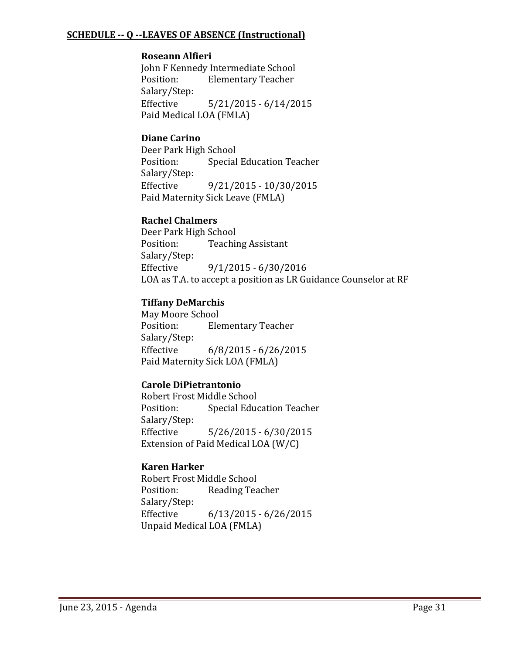#### **SCHEDULE ‐‐ Q ‐‐LEAVES OF ABSENCE (Instructional)**

#### **Roseann Alfieri**

John F Kennedy Intermediate School Position: Elementary Teacher Salary/Step: Effective 5/21/2015 - 6/14/2015 Paid Medical LOA (FMLA)

#### **Diane Carino**

Deer Park High School Position: Special Education Teacher Salary/Step: Effective  $9/21/2015 - 10/30/2015$ Paid Maternity Sick Leave (FMLA)

#### **Rachel Chalmers**

Deer Park High School Position: Teaching Assistant Salary/Step: Effective  $9/1/2015 - 6/30/2016$ LOA as T.A. to accept a position as LR Guidance Counselor at RF

#### **Tiffany DeMarchis**

May Moore School Position: Elementary Teacher Salary/Step: Effective 6/8/2015 - 6/26/2015 Paid Maternity Sick LOA (FMLA)

#### **Carole DiPietrantonio**

Robert Frost Middle School Position: Special Education Teacher Salary/Step: Effective 5/26/2015 - 6/30/2015 Extension of Paid Medical LOA  $(W/C)$ 

#### **Karen Harker**

Robert Frost Middle School Position: Reading Teacher Salary/Step: Effective 6/13/2015 - 6/26/2015 Unpaid Medical LOA (FMLA)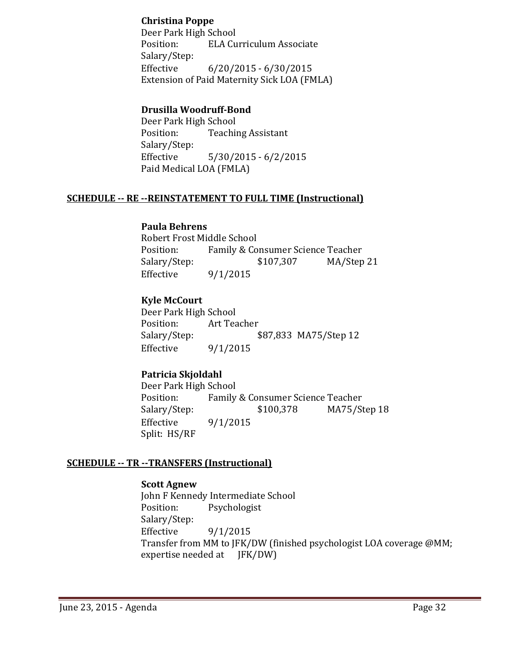#### **Christina Poppe**

Deer Park High School Position: ELA Curriculum Associate Salary/Step: Effective 6/20/2015 - 6/30/2015 Extension of Paid Maternity Sick LOA (FMLA)

#### **Drusilla Woodruff‐Bond**

Deer Park High School Position: Teaching Assistant Salary/Step: Effective 5/30/2015 - 6/2/2015 Paid Medical LOA (FMLA)

#### **SCHEDULE ‐‐ RE ‐‐REINSTATEMENT TO FULL TIME (Instructional)**

#### **Paula Behrens**

Robert Frost Middle School Position: Family & Consumer Science Teacher Salary/Step:  $$107,307$  MA/Step 21 Effective  $9/1/2015$ 

#### **Kyle McCourt**

Deer Park High School Position: Art Teacher Salary/Step: \$87,833 MA75/Step 12 Effective  $9/1/2015$ 

# **Patricia Skjoldahl**

Deer Park High School Position: Family & Consumer Science Teacher Salary/Step: \$100,378 MA75/Step 18 Effective  $9/1/2015$ Split: HS/RF

#### **SCHEDULE ‐‐ TR ‐‐TRANSFERS (Instructional)**

#### **Scott Agnew**

John F Kennedy Intermediate School Position: Psychologist Salary/Step: Effective  $9/1/2015$ Transfer from MM to JFK/DW (finished psychologist LOA coverage @MM; expertise needed at  $IFK/DW$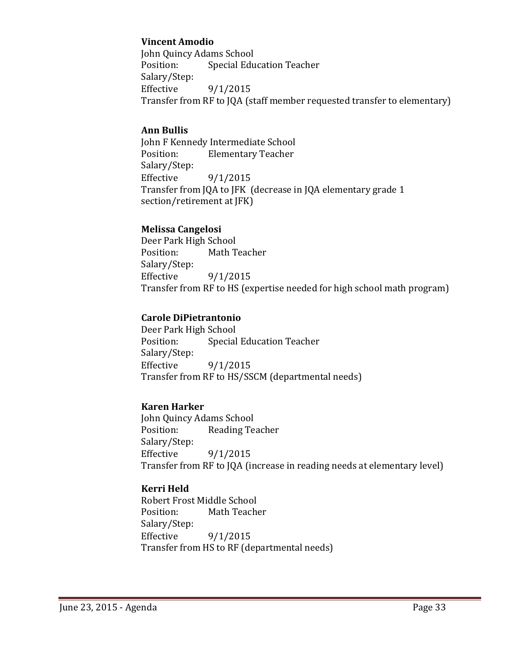### **Vincent Amodio**

John Quincy Adams School Position: Special Education Teacher Salary/Step: Effective  $9/1/2015$ Transfer from RF to JQA (staff member requested transfer to elementary)

#### **Ann Bullis**

John F Kennedy Intermediate School Position: Elementary Teacher Salary/Step: Effective  $9/1/2015$ Transfer from JQA to JFK (decrease in JQA elementary grade 1 section/retirement at [FK]

#### **Melissa Cangelosi**

Deer Park High School Position: Math Teacher Salary/Step: Effective  $9/1/2015$ Transfer from RF to HS (expertise needed for high school math program)

#### **Carole DiPietrantonio**

Deer Park High School Position: Special Education Teacher Salary/Step: Effective  $9/1/2015$ Transfer from RF to HS/SSCM (departmental needs)

# **Karen Harker**

John Quincy Adams School Position: Reading Teacher Salary/Step: Effective  $9/1/2015$ Transfer from RF to JQA (increase in reading needs at elementary level)

# **Kerri Held**

Robert Frost Middle School Position: Math Teacher Salary/Step: Effective  $9/1/2015$ Transfer from HS to RF (departmental needs)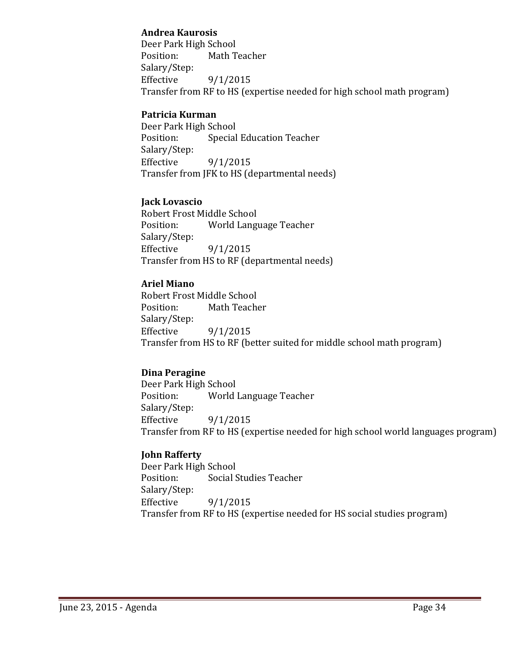#### **Andrea Kaurosis**

Deer Park High School Position: Math Teacher Salary/Step: Effective  $9/1/2015$ Transfer from RF to HS (expertise needed for high school math program)

# **Patricia Kurman**

Deer Park High School Position: Special Education Teacher Salary/Step: Effective  $9/1/2015$ Transfer from JFK to HS (departmental needs)

# **Jack Lovascio**

Robert Frost Middle School Position: World Language Teacher Salary/Step: Effective  $9/1/2015$ Transfer from HS to RF (departmental needs)

# **Ariel Miano**

Robert Frost Middle School Position: Math Teacher Salary/Step: Effective  $9/1/2015$ Transfer from HS to RF (better suited for middle school math program)

# **Dina Peragine**

Deer Park High School Position: World Language Teacher Salary/Step: Effective  $9/1/2015$ Transfer from RF to HS (expertise needed for high school world languages program)

# **John Rafferty**

Deer Park High School Position: Social Studies Teacher Salary/Step: Effective  $9/1/2015$ Transfer from RF to HS (expertise needed for HS social studies program)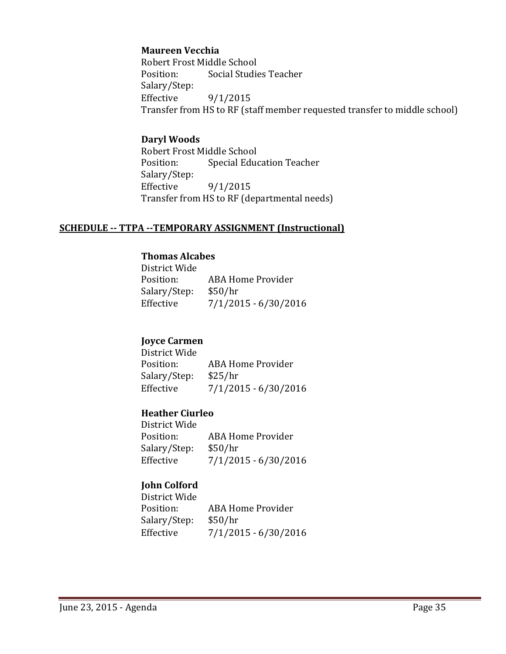#### **Maureen Vecchia**

Robert Frost Middle School Position: Social Studies Teacher Salary/Step: Effective  $9/1/2015$ Transfer from HS to RF (staff member requested transfer to middle school)

#### **Daryl Woods**

Robert Frost Middle School Position: Special Education Teacher Salary/Step: Effective  $9/1/2015$ Transfer from HS to RF (departmental needs)

#### **SCHEDULE ‐‐ TTPA ‐‐TEMPORARY ASSIGNMENT (Instructional)**

#### **Thomas Alcabes**

| District Wide |                        |
|---------------|------------------------|
| Position:     | ABA Home Provider      |
| Salary/Step:  | \$50/hr                |
| Effective     | $7/1/2015 - 6/30/2016$ |

#### **Joyce Carmen**

District Wide Position: ABA Home Provider Salary/Step: \$25/hr Effective  $7/1/2015 - 6/30/2016$ 

#### **Heather Ciurleo**

District Wide Position: ABA Home Provider Salary/Step: \$50/hr Effective  $7/1/2015 - 6/30/2016$ 

# **John Colford**

District Wide Position: ABA Home Provider Salary/Step: \$50/hr Effective  $7/1/2015 - 6/30/2016$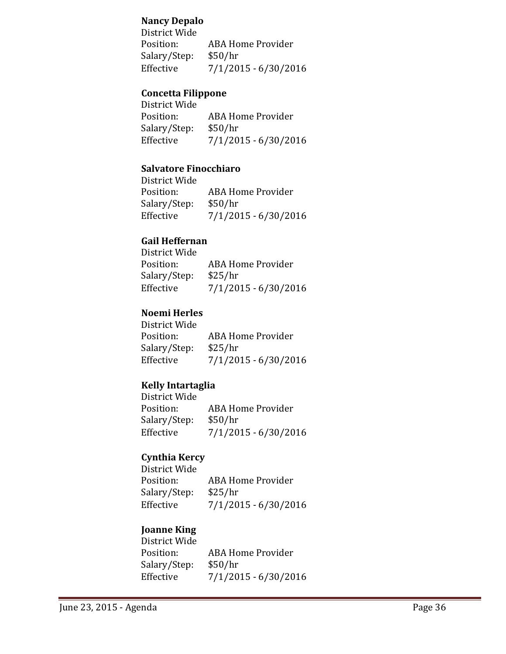#### **Nancy Depalo**

District Wide Position: ABA Home Provider Salary/Step: \$50/hr Effective  $7/1/2015 - 6/30/2016$ 

# **Concetta Filippone**

| District Wide |                        |
|---------------|------------------------|
| Position:     | ABA Home Provider      |
| Salary/Step:  | \$50/hr                |
| Effective     | $7/1/2015 - 6/30/2016$ |

#### **Salvatore Finocchiaro**

| District Wide |                        |
|---------------|------------------------|
| Position:     | ABA Home Provider      |
| Salary/Step:  | \$50/hr                |
| Effective     | $7/1/2015 - 6/30/2016$ |

#### **Gail Heffernan**

| District Wide |                        |
|---------------|------------------------|
| Position:     | ABA Home Provider      |
| Salary/Step:  | \$25/hr                |
| Effective     | $7/1/2015 - 6/30/2016$ |
|               |                        |

# **Noemi Herles**

| District Wide |                        |
|---------------|------------------------|
| Position:     | ABA Home Provider      |
| Salary/Step:  | \$25/hr                |
| Effective     | $7/1/2015 - 6/30/2016$ |

# **Kelly Intartaglia**

| District Wide |                        |
|---------------|------------------------|
| Position:     | ABA Home Provider      |
| Salary/Step:  | \$50/hr                |
| Effective     | $7/1/2015 - 6/30/2016$ |
|               |                        |

# **Cynthia Kercy**

| District Wide |                        |
|---------------|------------------------|
| Position:     | ABA Home Provider      |
| Salary/Step:  | \$25/hr                |
| Effective     | $7/1/2015 - 6/30/2016$ |
|               |                        |

# **Joanne King**

District Wide Position: ABA Home Provider Salary/Step: \$50/hr Effective  $7/1/2015 - 6/30/2016$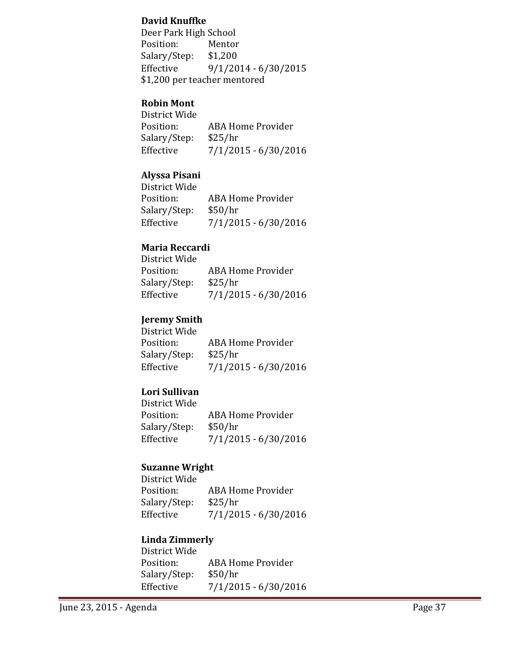#### **David Knuffke**

Deer Park High School Position: Mentor Salary/Step: \$1,200 Effective  $9/1/2014 - 6/30/2015$ \$1,200 per teacher mentored

#### **Robin Mont**

| District Wide |                        |
|---------------|------------------------|
| Position:     | ABA Home Provider      |
| Salary/Step:  | \$25/hr                |
| Effective     | $7/1/2015 - 6/30/2016$ |

# **Alyssa Pisani**

| District Wide |                        |
|---------------|------------------------|
| Position:     | ABA Home Provider      |
| Salary/Step:  | \$50/hr                |
| Effective     | $7/1/2015 - 6/30/2016$ |

#### **Maria Reccardi**

| District Wide |                        |
|---------------|------------------------|
| Position:     | ABA Home Provider      |
| Salary/Step:  | \$25/hr                |
| Effective     | $7/1/2015 - 6/30/2016$ |

# **Jeremy Smith**

| District Wide |                        |
|---------------|------------------------|
| Position:     | ABA Home Provider      |
| Salary/Step:  | \$25/hr                |
| Effective     | $7/1/2015 - 6/30/2016$ |

# **Lori Sullivan**

| District Wide |                        |
|---------------|------------------------|
| Position:     | ABA Home Provider      |
| Salary/Step:  | \$50/hr                |
| Effective     | $7/1/2015 - 6/30/2016$ |

# **Suzanne Wright**

District Wide Position: ABA Home Provider Salary/Step: \$25/hr Effective  $7/1/2015 - 6/30/2016$ 

### **Linda Zimmerly**

| District Wide |                        |
|---------------|------------------------|
| Position:     | ABA Home Provider      |
| Salary/Step:  | \$50/hr                |
| Effective     | $7/1/2015 - 6/30/2016$ |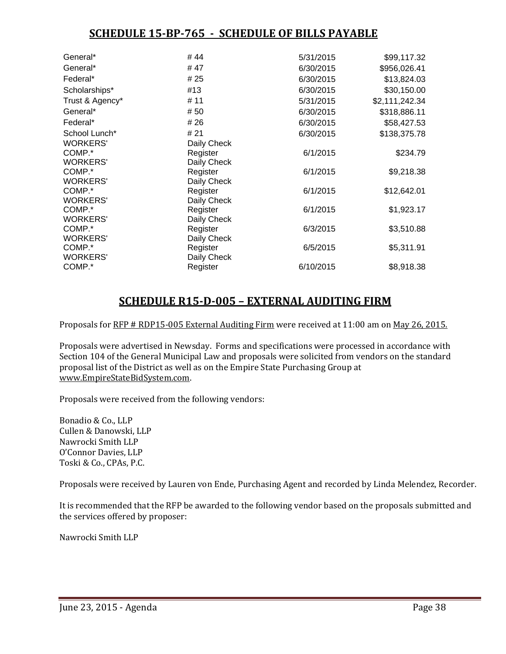# **SCHEDULE 15‐BP‐765 ‐ SCHEDULE OF BILLS PAYABLE**

| General*        | #44         | 5/31/2015 | \$99,117.32    |
|-----------------|-------------|-----------|----------------|
| General*        | #47         | 6/30/2015 | \$956,026.41   |
| Federal*        | # 25        | 6/30/2015 | \$13,824.03    |
| Scholarships*   | #13         | 6/30/2015 | \$30,150.00    |
| Trust & Agency* | # 11        | 5/31/2015 | \$2,111,242.34 |
| General*        | #50         | 6/30/2015 | \$318,886.11   |
| Federal*        | # 26        | 6/30/2015 | \$58,427.53    |
| School Lunch*   | # 21        | 6/30/2015 | \$138,375.78   |
| <b>WORKERS'</b> | Daily Check |           |                |
| COMP.*          | Register    | 6/1/2015  | \$234.79       |
| <b>WORKERS'</b> | Daily Check |           |                |
| COMP.*          | Register    | 6/1/2015  | \$9,218.38     |
| <b>WORKERS'</b> | Daily Check |           |                |
| COMP.*          | Register    | 6/1/2015  | \$12,642.01    |
| <b>WORKERS'</b> | Daily Check |           |                |
| COMP.*          | Register    | 6/1/2015  | \$1,923.17     |
| <b>WORKERS'</b> | Daily Check |           |                |
| COMP.*          | Register    | 6/3/2015  | \$3,510.88     |
| <b>WORKERS'</b> | Daily Check |           |                |
| COMP.*          | Register    | 6/5/2015  | \$5,311.91     |
| <b>WORKERS'</b> | Daily Check |           |                |
| COMP.*          | Register    | 6/10/2015 | \$8,918.38     |
|                 |             |           |                |

# **SCHEDULE R15‐D‐005 – EXTERNAL AUDITING FIRM**

Proposals for RFP # RDP15-005 External Auditing Firm were received at 11:00 am on May 26, 2015.

Proposals were advertised in Newsday. Forms and specifications were processed in accordance with Section 104 of the General Municipal Law and proposals were solicited from vendors on the standard proposal list of the District as well as on the Empire State Purchasing Group at www.EmpireStateBidSystem.com. 

Proposals were received from the following vendors:

Bonadio & Co., LLP Cullen & Danowski, LLP Nawrocki Smith LLP O'Connor Davies, LLP Toski & Co., CPAs, P.C.

Proposals were received by Lauren von Ende, Purchasing Agent and recorded by Linda Melendez, Recorder.

It is recommended that the RFP be awarded to the following vendor based on the proposals submitted and the services offered by proposer:

Nawrocki Smith LLP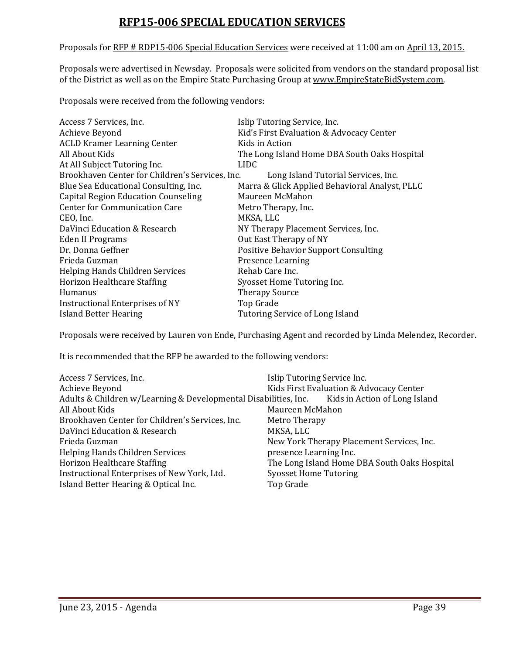# **RFP15‐006 SPECIAL EDUCATION SERVICES**

Proposals for RFP # RDP15-006 Special Education Services were received at 11:00 am on April 13, 2015.

Proposals were advertised in Newsday. Proposals were solicited from vendors on the standard proposal list of the District as well as on the Empire State Purchasing Group at www.EmpireStateBidSystem.com.

Proposals were received from the following vendors:

| Access 7 Services, Inc.                         | Islip Tutoring Service, Inc.                   |
|-------------------------------------------------|------------------------------------------------|
| Achieve Beyond                                  | Kid's First Evaluation & Advocacy Center       |
| <b>ACLD Kramer Learning Center</b>              | Kids in Action                                 |
| All About Kids                                  | The Long Island Home DBA South Oaks Hospital   |
| At All Subject Tutoring Inc.                    | LIDC.                                          |
| Brookhaven Center for Children's Services, Inc. | Long Island Tutorial Services, Inc.            |
| Blue Sea Educational Consulting, Inc.           | Marra & Glick Applied Behavioral Analyst, PLLC |
| <b>Capital Region Education Counseling</b>      | Maureen McMahon                                |
| <b>Center for Communication Care</b>            | Metro Therapy, Inc.                            |
| CEO, Inc.                                       | MKSA, LLC                                      |
| DaVinci Education & Research                    | NY Therapy Placement Services, Inc.            |
| Eden II Programs                                | Out East Therapy of NY                         |
| Dr. Donna Geffner                               | <b>Positive Behavior Support Consulting</b>    |
| Frieda Guzman                                   | <b>Presence Learning</b>                       |
| Helping Hands Children Services                 | Rehab Care Inc.                                |
| Horizon Healthcare Staffing                     | Syosset Home Tutoring Inc.                     |
| Humanus                                         | <b>Therapy Source</b>                          |
| Instructional Enterprises of NY                 | Top Grade                                      |
| Island Better Hearing                           | Tutoring Service of Long Island                |

Proposals were received by Lauren von Ende, Purchasing Agent and recorded by Linda Melendez, Recorder.

It is recommended that the RFP be awarded to the following vendors:

| Access 7 Services, Inc.                                                                       | Islip Tutoring Service Inc.                  |
|-----------------------------------------------------------------------------------------------|----------------------------------------------|
| Achieve Beyond                                                                                | Kids First Evaluation & Advocacy Center      |
| Adults & Children w/Learning & Developmental Disabilities, Inc. Kids in Action of Long Island |                                              |
| All About Kids                                                                                | Maureen McMahon                              |
| Brookhaven Center for Children's Services, Inc.                                               | Metro Therapy                                |
| DaVinci Education & Research                                                                  | MKSA, LLC                                    |
| Frieda Guzman                                                                                 | New York Therapy Placement Services, Inc.    |
| <b>Helping Hands Children Services</b>                                                        | presence Learning Inc.                       |
| Horizon Healthcare Staffing                                                                   | The Long Island Home DBA South Oaks Hospital |
| Instructional Enterprises of New York, Ltd.                                                   | <b>Syosset Home Tutoring</b>                 |
| Island Better Hearing & Optical Inc.                                                          | Top Grade                                    |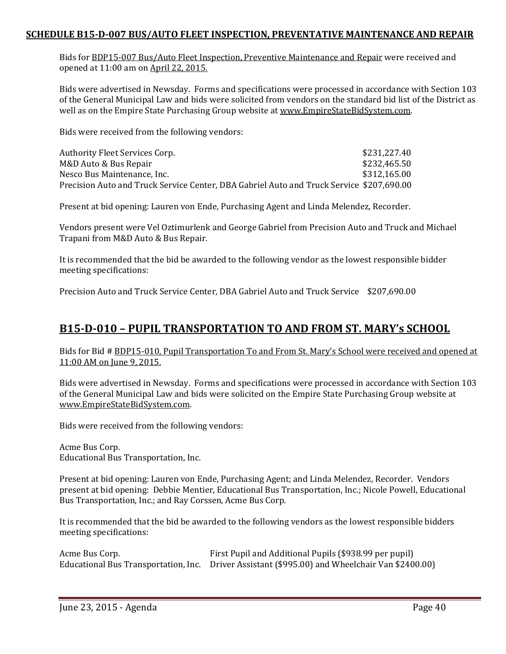#### **SCHEDULE B15‐D‐007 BUS/AUTO FLEET INSPECTION, PREVENTATIVE MAINTENANCE AND REPAIR**

Bids for BDP15-007 Bus/Auto Fleet Inspection, Preventive Maintenance and Repair were received and opened at 11:00 am on April 22, 2015.

Bids were advertised in Newsday. Forms and specifications were processed in accordance with Section 103 of the General Municipal Law and bids were solicited from vendors on the standard bid list of the District as well as on the Empire State Purchasing Group website at www.EmpireStateBidSystem.com.

Bids were received from the following vendors:

| Authority Fleet Services Corp.                                                           | \$231,227.40 |
|------------------------------------------------------------------------------------------|--------------|
| M&D Auto & Bus Repair                                                                    | \$232,465.50 |
| Nesco Bus Maintenance, Inc.                                                              | \$312,165.00 |
| Precision Auto and Truck Service Center, DBA Gabriel Auto and Truck Service \$207,690.00 |              |

Present at bid opening: Lauren von Ende, Purchasing Agent and Linda Melendez, Recorder.

Vendors present were Vel Oztimurlenk and George Gabriel from Precision Auto and Truck and Michael Trapani from M&D Auto & Bus Repair.

It is recommended that the bid be awarded to the following vendor as the lowest responsible bidder meeting specifications:

Precision Auto and Truck Service Center, DBA Gabriel Auto and Truck Service \$207,690.00

# **B15‐D‐010 – PUPIL TRANSPORTATION TO AND FROM ST. MARY's SCHOOL**

Bids for Bid # BDP15-010, Pupil Transportation To and From St. Mary's School were received and opened at 11:00 AM on June 9, 2015.

Bids were advertised in Newsday. Forms and specifications were processed in accordance with Section 103 of the General Municipal Law and bids were solicited on the Empire State Purchasing Group website at www.EmpireStateBidSystem.com. 

Bids were received from the following vendors:

Acme Bus Corp. Educational Bus Transportation, Inc.

Present at bid opening: Lauren von Ende, Purchasing Agent; and Linda Melendez, Recorder. Vendors present at bid opening: Debbie Mentier, Educational Bus Transportation, Inc.; Nicole Powell, Educational Bus Transportation, Inc.; and Ray Corssen, Acme Bus Corp.

It is recommended that the bid be awarded to the following vendors as the lowest responsible bidders meeting specifications: 

| Acme Bus Corp. | First Pupil and Additional Pupils (\$938.99 per pupil)                                         |
|----------------|------------------------------------------------------------------------------------------------|
|                | Educational Bus Transportation, Inc. Driver Assistant (\$995.00) and Wheelchair Van \$2400.00) |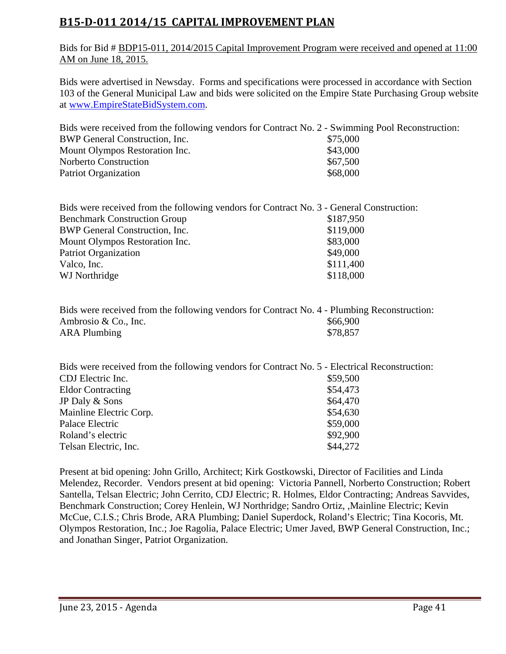# **B15‐D‐011 2014/15 CAPITAL IMPROVEMENT PLAN**

Bids for Bid # BDP15-011, 2014/2015 Capital Improvement Program were received and opened at 11:00 AM on June 18, 2015.

Bids were advertised in Newsday. Forms and specifications were processed in accordance with Section 103 of the General Municipal Law and bids were solicited on the Empire State Purchasing Group website at www.EmpireStateBidSystem.com.

| Bids were received from the following vendors for Contract No. 2 - Swimming Pool Reconstruction: |          |
|--------------------------------------------------------------------------------------------------|----------|
| BWP General Construction, Inc.                                                                   | \$75,000 |
| Mount Olympos Restoration Inc.                                                                   | \$43,000 |
| Norberto Construction                                                                            | \$67,500 |
| Patriot Organization                                                                             | \$68,000 |

| Bids were received from the following vendors for Contract No. 3 - General Construction: |           |
|------------------------------------------------------------------------------------------|-----------|
| <b>Benchmark Construction Group</b>                                                      | \$187,950 |
| BWP General Construction, Inc.                                                           | \$119,000 |
| Mount Olympos Restoration Inc.                                                           | \$83,000  |
| <b>Patriot Organization</b>                                                              | \$49,000  |
| Valco, Inc.                                                                              | \$111,400 |
| WJ Northridge                                                                            | \$118,000 |
|                                                                                          |           |

| Bids were received from the following vendors for Contract No. 4 - Plumbing Reconstruction: |          |
|---------------------------------------------------------------------------------------------|----------|
| Ambrosio & Co., Inc.                                                                        | \$66.900 |
| <b>ARA Plumbing</b>                                                                         | \$78,857 |

| Bids were received from the following vendors for Contract No. 5 - Electrical Reconstruction: |          |
|-----------------------------------------------------------------------------------------------|----------|
| CDJ Electric Inc.                                                                             | \$59,500 |
| <b>Eldor Contracting</b>                                                                      | \$54,473 |
| JP Daly & Sons                                                                                | \$64,470 |
| Mainline Electric Corp.                                                                       | \$54,630 |
| Palace Electric                                                                               | \$59,000 |
| Roland's electric                                                                             | \$92,900 |
| Telsan Electric, Inc.                                                                         | \$44,272 |

Present at bid opening: John Grillo, Architect; Kirk Gostkowski, Director of Facilities and Linda Melendez, Recorder. Vendors present at bid opening: Victoria Pannell, Norberto Construction; Robert Santella, Telsan Electric; John Cerrito, CDJ Electric; R. Holmes, Eldor Contracting; Andreas Savvides, Benchmark Construction; Corey Henlein, WJ Northridge; Sandro Ortiz, ,Mainline Electric; Kevin McCue, C.I.S.; Chris Brode, ARA Plumbing; Daniel Superdock, Roland's Electric; Tina Kocoris, Mt. Olympos Restoration, Inc.; Joe Ragolia, Palace Electric; Umer Javed, BWP General Construction, Inc.; and Jonathan Singer, Patriot Organization.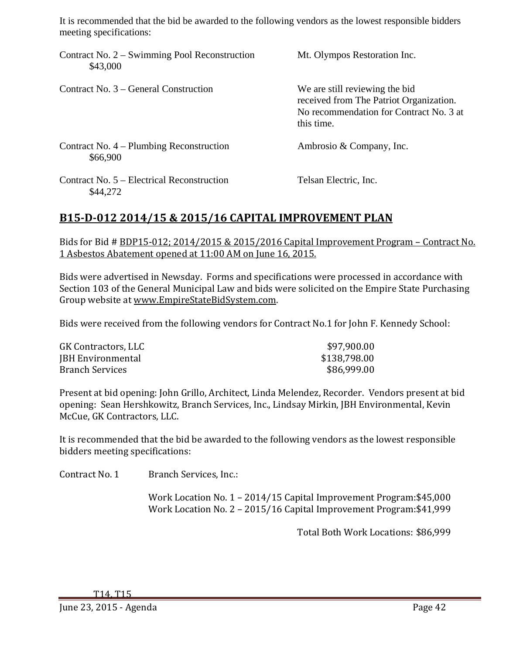It is recommended that the bid be awarded to the following vendors as the lowest responsible bidders meeting specifications:

| Contract No. $2 -$ Swimming Pool Reconstruction<br>\$43,000 | Mt. Olympos Restoration Inc.                                                                                                       |
|-------------------------------------------------------------|------------------------------------------------------------------------------------------------------------------------------------|
| Contract No. 3 – General Construction                       | We are still reviewing the bid<br>received from The Patriot Organization.<br>No recommendation for Contract No. 3 at<br>this time. |
| Contract No. 4 – Plumbing Reconstruction<br>\$66,900        | Ambrosio & Company, Inc.                                                                                                           |
| Contract No. 5 – Electrical Reconstruction<br>\$44,272      | Telsan Electric, Inc.                                                                                                              |

# **B15‐D‐012 2014/15 & 2015/16 CAPITAL IMPROVEMENT PLAN**

Bids for Bid # BDP15-012; 2014/2015 & 2015/2016 Capital Improvement Program – Contract No. 1 Asbestos Abatement opened at 11:00 AM on June 16, 2015.

Bids were advertised in Newsday. Forms and specifications were processed in accordance with Section 103 of the General Municipal Law and bids were solicited on the Empire State Purchasing Group website at www.EmpireStateBidSystem.com.

Bids were received from the following vendors for Contract No.1 for John F. Kennedy School:

| GK Contractors, LLC      | \$97,900.00  |
|--------------------------|--------------|
| <b>JBH</b> Environmental | \$138,798.00 |
| <b>Branch Services</b>   | \$86,999.00  |

Present at bid opening: John Grillo, Architect, Linda Melendez, Recorder. Vendors present at bid opening: Sean Hershkowitz, Branch Services, Inc., Lindsay Mirkin, JBH Environmental, Kevin McCue, GK Contractors, LLC.

It is recommended that the bid be awarded to the following vendors as the lowest responsible bidders meeting specifications:

Contract No. 1 Branch Services, Inc.:

Work Location No. 1 - 2014/15 Capital Improvement Program: \$45,000 Work Location No. 2 - 2015/16 Capital Improvement Program: \$41,999

Total Both Work Locations: \$86,999

T14, T15 

June 23, 2015 - Agenda **Page 42**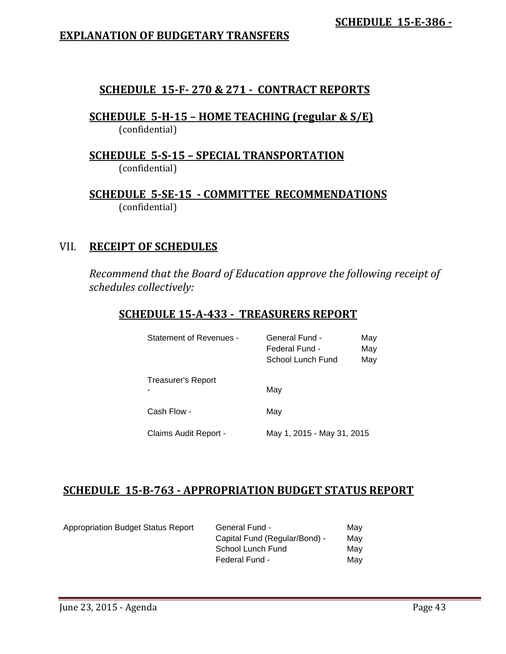# **EXPLANATION OF BUDGETARY TRANSFERS**

# **SCHEDULE 15‐F‐ 270 & 271 ‐ CONTRACT REPORTS**

**SCHEDULE 5‐H‐15 – HOME TEACHING (regular & S/E)**  (confidential) 

**SCHEDULE 5‐S‐15 – SPECIAL TRANSPORTATION**  (confidential)

**SCHEDULE 5‐SE‐15 ‐ COMMITTEE RECOMMENDATIONS** (confidential) 

# VII. **RECEIPT OF SCHEDULES**

*Recommend that the Board of Education approve the following receipt of schedules collectively:*

# **SCHEDULE 15‐A‐433 ‐ TREASURERS REPORT**

| <b>Statement of Revenues -</b> | <b>General Fund -</b><br>May<br>Federal Fund -<br>May<br>School Lunch Fund<br>May |
|--------------------------------|-----------------------------------------------------------------------------------|
| <b>Treasurer's Report</b>      | May                                                                               |
| Cash Flow -                    | May                                                                               |
| Claims Audit Report -          | May 1, 2015 - May 31, 2015                                                        |

# **SCHEDULE 15‐B‐763 ‐ APPROPRIATION BUDGET STATUS REPORT**

| Appropriation Budget Status Report | General Fund -                | May |
|------------------------------------|-------------------------------|-----|
|                                    | Capital Fund (Regular/Bond) - | May |
|                                    | School Lunch Fund             | Mav |
|                                    | Federal Fund -                | Mav |